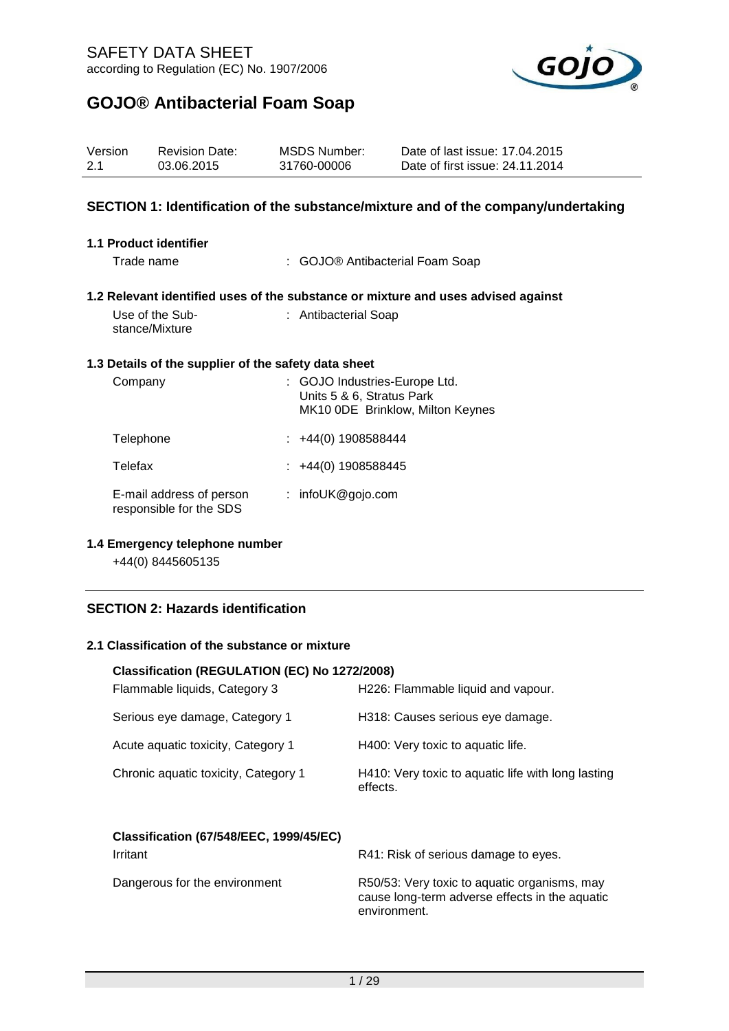Revision Date:

Version



Date of last issue: 17.04.2015

# **GOJO® Antibacterial Foam Soap**

| 2.1 | 03.06.2015                                           | 31760-00006                                                | Date of first issue: 24.11.2014                                                   |  |
|-----|------------------------------------------------------|------------------------------------------------------------|-----------------------------------------------------------------------------------|--|
|     |                                                      |                                                            | SECTION 1: Identification of the substance/mixture and of the company/undertaking |  |
|     | 1.1 Product identifier                               |                                                            |                                                                                   |  |
|     | Trade name                                           |                                                            | : GOJO® Antibacterial Foam Soap                                                   |  |
|     |                                                      |                                                            | 1.2 Relevant identified uses of the substance or mixture and uses advised against |  |
|     | Use of the Sub-<br>stance/Mixture                    | : Antibacterial Soap                                       |                                                                                   |  |
|     | 1.3 Details of the supplier of the safety data sheet |                                                            |                                                                                   |  |
|     | Company                                              | : GOJO Industries-Europe Ltd.<br>Units 5 & 6, Stratus Park | MK10 ODE Brinklow, Milton Keynes                                                  |  |
|     | Telephone                                            | $\div$ +44(0) 1908588444                                   |                                                                                   |  |
|     | Telefax                                              | +44(0) 1908588445                                          |                                                                                   |  |
|     | E-mail address of person<br>responsible for the SDS  | : infoUK@gojo.com                                          |                                                                                   |  |

MSDS Number:

### **1.4 Emergency telephone number**

+44(0) 8445605135

### **SECTION 2: Hazards identification**

### **2.1 Classification of the substance or mixture**

# **Classification (REGULATION (EC) No 1272/2008)** Flammable liquids, Category 3 H226: Flammable liquid and vapour. Serious eye damage, Category 1 H318: Causes serious eye damage. Acute aquatic toxicity, Category 1 H400: Very toxic to aquatic life. Chronic aquatic toxicity, Category 1 H410: Very toxic to aquatic life with long lasting effects. **Classification (67/548/EEC, 1999/45/EC)** Irritant **Irritant** R41: Risk of serious damage to eyes. Dangerous for the environment R50/53: Very toxic to aquatic organisms, may cause long-term adverse effects in the aquatic environment.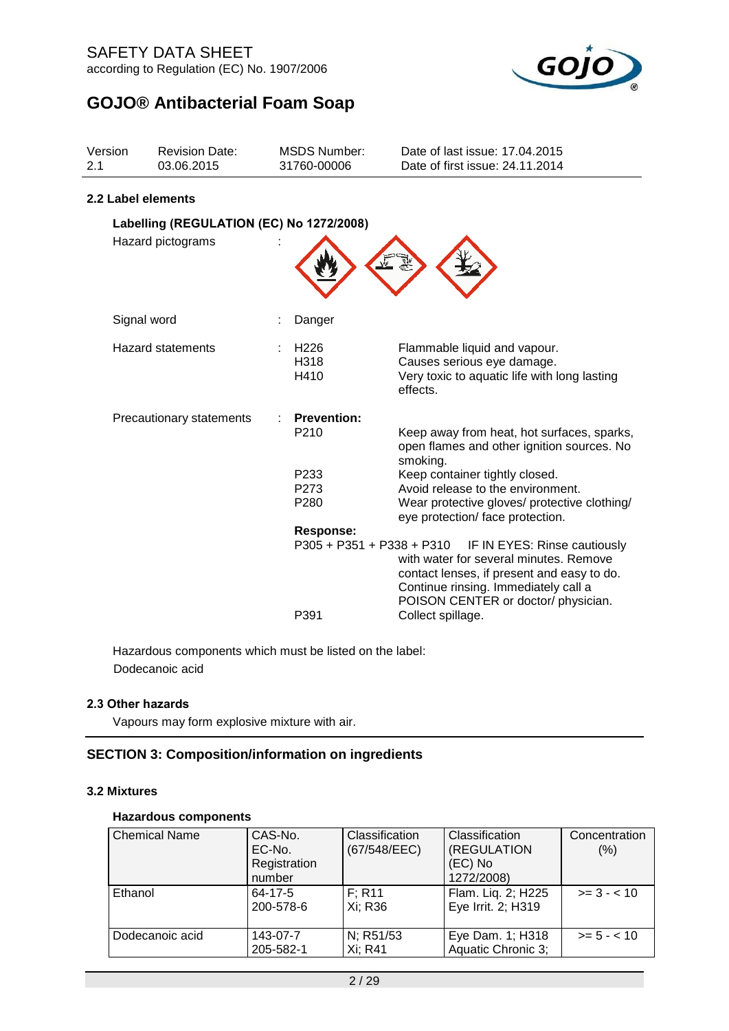

| Version<br>2.1                           | <b>Revision Date:</b><br>03.06.2015 |  | <b>MSDS Number:</b><br>31760-00006     | Date of last issue: 17.04.2015<br>Date of first issue: 24.11.2014                                                                                                                                   |  |  |  |  |
|------------------------------------------|-------------------------------------|--|----------------------------------------|-----------------------------------------------------------------------------------------------------------------------------------------------------------------------------------------------------|--|--|--|--|
|                                          | 2.2 Label elements                  |  |                                        |                                                                                                                                                                                                     |  |  |  |  |
| Labelling (REGULATION (EC) No 1272/2008) |                                     |  |                                        |                                                                                                                                                                                                     |  |  |  |  |
|                                          | Hazard pictograms                   |  |                                        |                                                                                                                                                                                                     |  |  |  |  |
|                                          | Signal word                         |  | Danger                                 |                                                                                                                                                                                                     |  |  |  |  |
|                                          | <b>Hazard statements</b>            |  | H226<br>H318<br>H410                   | Flammable liquid and vapour.<br>Causes serious eye damage.<br>Very toxic to aquatic life with long lasting<br>effects.                                                                              |  |  |  |  |
|                                          | Precautionary statements            |  | <b>Prevention:</b><br>P <sub>210</sub> | Keep away from heat, hot surfaces, sparks,<br>open flames and other ignition sources. No<br>smoking.                                                                                                |  |  |  |  |
|                                          |                                     |  | P <sub>233</sub>                       | Keep container tightly closed.                                                                                                                                                                      |  |  |  |  |
|                                          |                                     |  | P <sub>273</sub><br>P <sub>280</sub>   | Avoid release to the environment.<br>Wear protective gloves/ protective clothing/<br>eye protection/ face protection.                                                                               |  |  |  |  |
|                                          |                                     |  | <b>Response:</b>                       |                                                                                                                                                                                                     |  |  |  |  |
|                                          |                                     |  | P305 + P351 + P338 + P310              | IF IN EYES: Rinse cautiously<br>with water for several minutes. Remove<br>contact lenses, if present and easy to do.<br>Continue rinsing. Immediately call a<br>POISON CENTER or doctor/ physician. |  |  |  |  |
|                                          |                                     |  | P391                                   | Collect spillage.                                                                                                                                                                                   |  |  |  |  |

Hazardous components which must be listed on the label: Dodecanoic acid

### **2.3 Other hazards**

Vapours may form explosive mixture with air.

### **SECTION 3: Composition/information on ingredients**

### **3.2 Mixtures**

### **Hazardous components**

| <b>Chemical Name</b> | CAS-No.      | Classification | Classification     | Concentration |
|----------------------|--------------|----------------|--------------------|---------------|
|                      | EC-No.       | (67/548/EEC)   | (REGULATION        | (% )          |
|                      | Registration |                | (EC) No            |               |
|                      | number       |                | 1272/2008)         |               |
| Ethanol              | 64-17-5      | F: R11         | Flam. Lig. 2; H225 | $>= 3 - 10$   |
|                      | 200-578-6    | Xi: R36        | Eye Irrit. 2; H319 |               |
|                      |              |                |                    |               |
| Dodecanoic acid      | 143-07-7     | N; R51/53      | Eye Dam. 1; H318   | $>= 5 - < 10$ |
|                      | 205-582-1    | Xi: R41        | Aquatic Chronic 3; |               |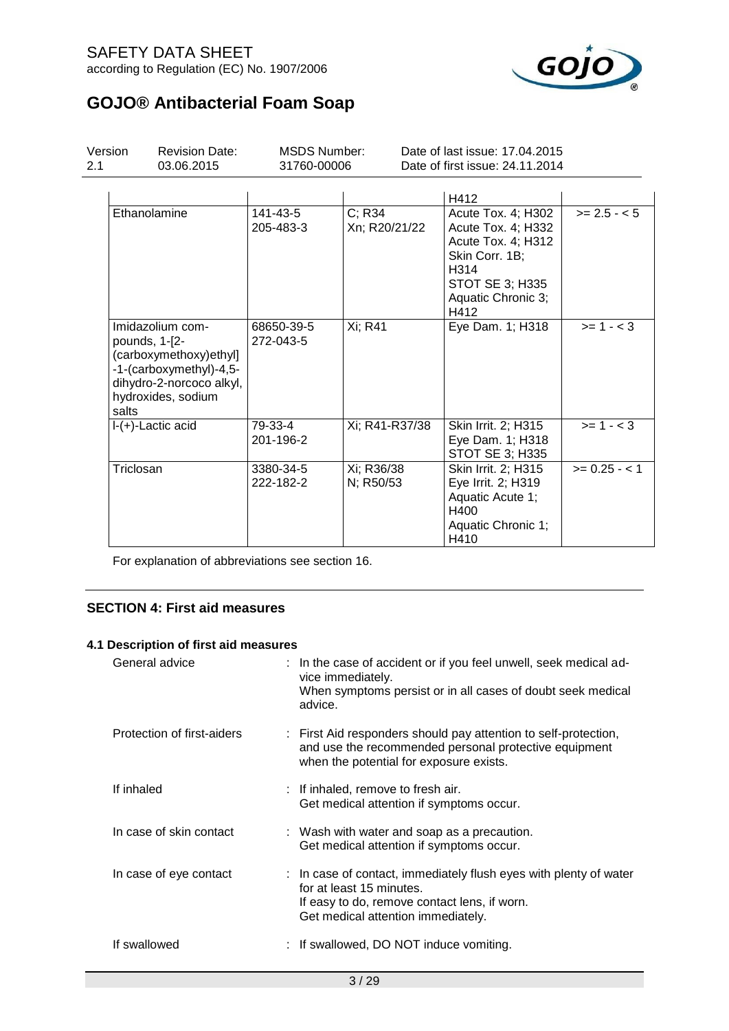## SAFETY DATA SHEET according to Regulation (EC) No. 1907/2006



# **GOJO® Antibacterial Foam Soap**

| Version<br>2.1 | <b>Revision Date:</b><br>03.06.2015                                                                                                               | <b>MSDS Number:</b><br>31760-00006 |                         | Date of last issue: 17,04,2015<br>Date of first issue: 24.11.2014                                                                         |               |
|----------------|---------------------------------------------------------------------------------------------------------------------------------------------------|------------------------------------|-------------------------|-------------------------------------------------------------------------------------------------------------------------------------------|---------------|
|                |                                                                                                                                                   |                                    |                         | H412                                                                                                                                      |               |
|                | Ethanolamine                                                                                                                                      | 141-43-5<br>205-483-3              | C; R34<br>Xn; R20/21/22 | Acute Tox. 4; H302<br>Acute Tox. 4; H332<br>Acute Tox. 4; H312<br>Skin Corr. 1B;<br>H314<br>STOT SE 3; H335<br>Aquatic Chronic 3;<br>H412 | $>= 2.5 - 5$  |
|                | Imidazolium com-<br>pounds, 1-[2-<br>(carboxymethoxy)ethyl]<br>-1-(carboxymethyl)-4,5-<br>dihydro-2-norcoco alkyl,<br>hydroxides, sodium<br>salts | 68650-39-5<br>272-043-5            | Xi; R41                 | Eye Dam. 1; H318                                                                                                                          | $>= 1 - < 3$  |
|                | I-(+)-Lactic acid                                                                                                                                 | 79-33-4<br>201-196-2               | Xi; R41-R37/38          | Skin Irrit. 2; H315<br>Eye Dam. 1; H318<br>STOT SE 3; H335                                                                                | $>= 1 - < 3$  |
|                | Triclosan                                                                                                                                         | 3380-34-5<br>222-182-2             | Xi; R36/38<br>N; R50/53 | Skin Irrit. 2; H315<br>Eye Irrit. 2; H319<br>Aquatic Acute 1;<br>H400<br>Aquatic Chronic 1;<br>H410                                       | $>= 0.25 - 1$ |

For explanation of abbreviations see section 16.

### **SECTION 4: First aid measures**

### **4.1 Description of first aid measures**

| General advice             | : In the case of accident or if you feel unwell, seek medical ad-<br>vice immediately.<br>When symptoms persist or in all cases of doubt seek medical<br>advice.                    |
|----------------------------|-------------------------------------------------------------------------------------------------------------------------------------------------------------------------------------|
| Protection of first-aiders | : First Aid responders should pay attention to self-protection,<br>and use the recommended personal protective equipment<br>when the potential for exposure exists.                 |
| If inhaled                 | : If inhaled, remove to fresh air.<br>Get medical attention if symptoms occur.                                                                                                      |
| In case of skin contact    | : Wash with water and soap as a precaution.<br>Get medical attention if symptoms occur.                                                                                             |
| In case of eye contact     | : In case of contact, immediately flush eyes with plenty of water<br>for at least 15 minutes.<br>If easy to do, remove contact lens, if worn.<br>Get medical attention immediately. |
| If swallowed               | : If swallowed, DO NOT induce vomiting.                                                                                                                                             |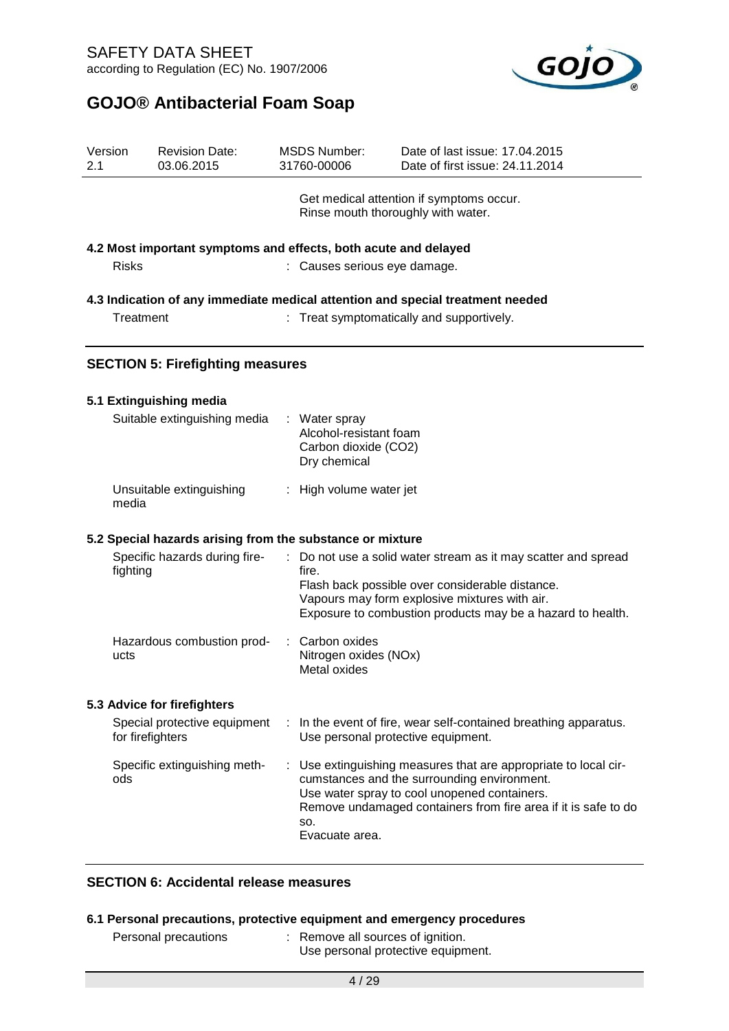

| Version<br>2.1 |              | <b>Revision Date:</b><br>03.06.2015                             |   | <b>MSDS Number:</b><br>31760-00006                                              | Date of last issue: 17,04,2015<br>Date of first issue: 24.11.2014                                                                                                                                                              |
|----------------|--------------|-----------------------------------------------------------------|---|---------------------------------------------------------------------------------|--------------------------------------------------------------------------------------------------------------------------------------------------------------------------------------------------------------------------------|
|                |              |                                                                 |   | Rinse mouth thoroughly with water.                                              | Get medical attention if symptoms occur.                                                                                                                                                                                       |
|                |              | 4.2 Most important symptoms and effects, both acute and delayed |   |                                                                                 |                                                                                                                                                                                                                                |
|                | <b>Risks</b> |                                                                 |   | : Causes serious eye damage.                                                    |                                                                                                                                                                                                                                |
|                |              |                                                                 |   |                                                                                 | 4.3 Indication of any immediate medical attention and special treatment needed                                                                                                                                                 |
|                | Treatment    |                                                                 |   |                                                                                 | Treat symptomatically and supportively.                                                                                                                                                                                        |
|                |              | <b>SECTION 5: Firefighting measures</b>                         |   |                                                                                 |                                                                                                                                                                                                                                |
|                |              | 5.1 Extinguishing media                                         |   |                                                                                 |                                                                                                                                                                                                                                |
|                |              | Suitable extinguishing media                                    |   | : Water spray<br>Alcohol-resistant foam<br>Carbon dioxide (CO2)<br>Dry chemical |                                                                                                                                                                                                                                |
|                | media        | Unsuitable extinguishing                                        |   | : High volume water jet                                                         |                                                                                                                                                                                                                                |
|                |              | 5.2 Special hazards arising from the substance or mixture       |   |                                                                                 |                                                                                                                                                                                                                                |
|                | fighting     | Specific hazards during fire-                                   | ÷ | fire.                                                                           | Do not use a solid water stream as it may scatter and spread<br>Flash back possible over considerable distance.<br>Vapours may form explosive mixtures with air.<br>Exposure to combustion products may be a hazard to health. |
|                | ucts         | Hazardous combustion prod-                                      | ÷ | Carbon oxides<br>Nitrogen oxides (NOx)<br>Metal oxides                          |                                                                                                                                                                                                                                |
|                |              | 5.3 Advice for firefighters                                     |   |                                                                                 |                                                                                                                                                                                                                                |
|                |              | Special protective equipment<br>for firefighters                |   | Use personal protective equipment.                                              | In the event of fire, wear self-contained breathing apparatus.                                                                                                                                                                 |
|                | ods          | Specific extinguishing meth-                                    |   | SO.<br>Evacuate area.                                                           | Use extinguishing measures that are appropriate to local cir-<br>cumstances and the surrounding environment.<br>Use water spray to cool unopened containers.<br>Remove undamaged containers from fire area if it is safe to do |

## **SECTION 6: Accidental release measures**

### **6.1 Personal precautions, protective equipment and emergency procedures**

| : Remove all sources of ignition.<br>Personal precautions | Use personal protective equipment. |
|-----------------------------------------------------------|------------------------------------|
|-----------------------------------------------------------|------------------------------------|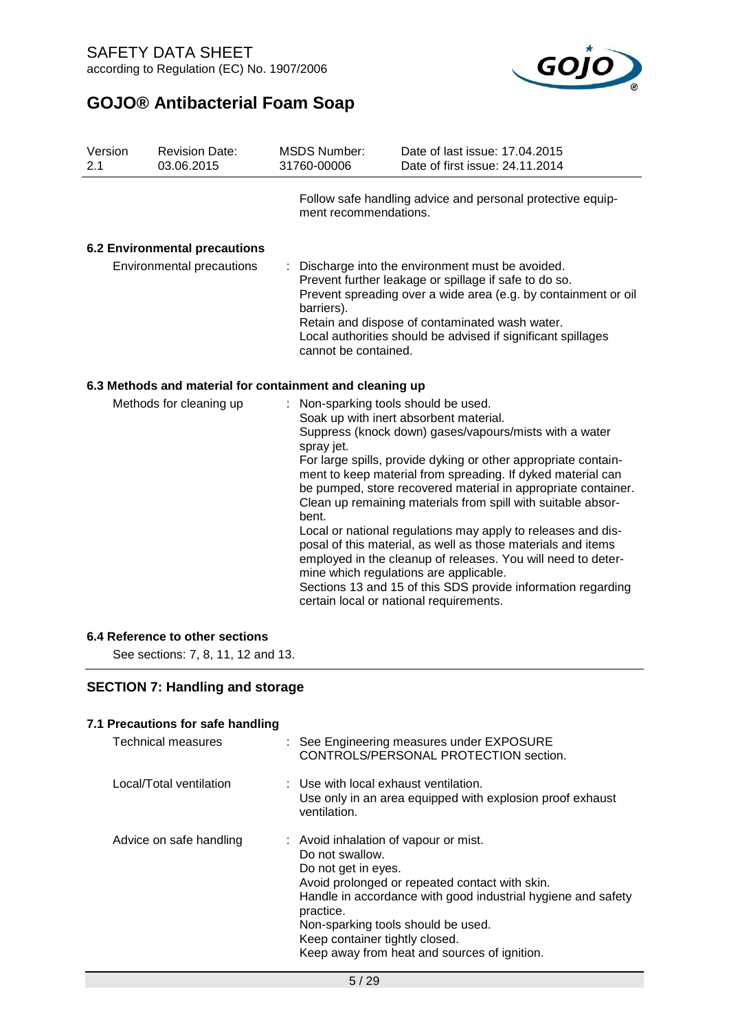

| Version<br>2.1          | <b>Revision Date:</b><br>03.06.2015                      | <b>MSDS Number:</b><br>31760-00006                          | Date of last issue: 17.04.2015<br>Date of first issue: 24.11.2014                                                                                                                                                                                                                                                                                                                                                                                                                                                                                                                                                                                                                                                       |
|-------------------------|----------------------------------------------------------|-------------------------------------------------------------|-------------------------------------------------------------------------------------------------------------------------------------------------------------------------------------------------------------------------------------------------------------------------------------------------------------------------------------------------------------------------------------------------------------------------------------------------------------------------------------------------------------------------------------------------------------------------------------------------------------------------------------------------------------------------------------------------------------------------|
|                         |                                                          | ment recommendations.                                       | Follow safe handling advice and personal protective equip-                                                                                                                                                                                                                                                                                                                                                                                                                                                                                                                                                                                                                                                              |
|                         | <b>6.2 Environmental precautions</b>                     |                                                             |                                                                                                                                                                                                                                                                                                                                                                                                                                                                                                                                                                                                                                                                                                                         |
|                         | Environmental precautions                                | barriers).<br>cannot be contained.                          | Discharge into the environment must be avoided.<br>Prevent further leakage or spillage if safe to do so.<br>Prevent spreading over a wide area (e.g. by containment or oil<br>Retain and dispose of contaminated wash water.<br>Local authorities should be advised if significant spillages                                                                                                                                                                                                                                                                                                                                                                                                                            |
|                         | 6.3 Methods and material for containment and cleaning up |                                                             |                                                                                                                                                                                                                                                                                                                                                                                                                                                                                                                                                                                                                                                                                                                         |
| Methods for cleaning up |                                                          | : Non-sparking tools should be used.<br>spray jet.<br>bent. | Soak up with inert absorbent material.<br>Suppress (knock down) gases/vapours/mists with a water<br>For large spills, provide dyking or other appropriate contain-<br>ment to keep material from spreading. If dyked material can<br>be pumped, store recovered material in appropriate container.<br>Clean up remaining materials from spill with suitable absor-<br>Local or national regulations may apply to releases and dis-<br>posal of this material, as well as those materials and items<br>employed in the cleanup of releases. You will need to deter-<br>mine which regulations are applicable.<br>Sections 13 and 15 of this SDS provide information regarding<br>certain local or national requirements. |

### **6.4 Reference to other sections**

See sections: 7, 8, 11, 12 and 13.

### **SECTION 7: Handling and storage**

### **7.1 Precautions for safe handling**

| <b>Technical measures</b> | : See Engineering measures under EXPOSURE<br>CONTROLS/PERSONAL PROTECTION section.                                                                                                                                                                                                                                                     |
|---------------------------|----------------------------------------------------------------------------------------------------------------------------------------------------------------------------------------------------------------------------------------------------------------------------------------------------------------------------------------|
| Local/Total ventilation   | : Use with local exhaust ventilation.<br>Use only in an area equipped with explosion proof exhaust<br>ventilation.                                                                                                                                                                                                                     |
| Advice on safe handling   | : Avoid inhalation of vapour or mist.<br>Do not swallow.<br>Do not get in eyes.<br>Avoid prolonged or repeated contact with skin.<br>Handle in accordance with good industrial hygiene and safety<br>practice.<br>Non-sparking tools should be used.<br>Keep container tightly closed.<br>Keep away from heat and sources of ignition. |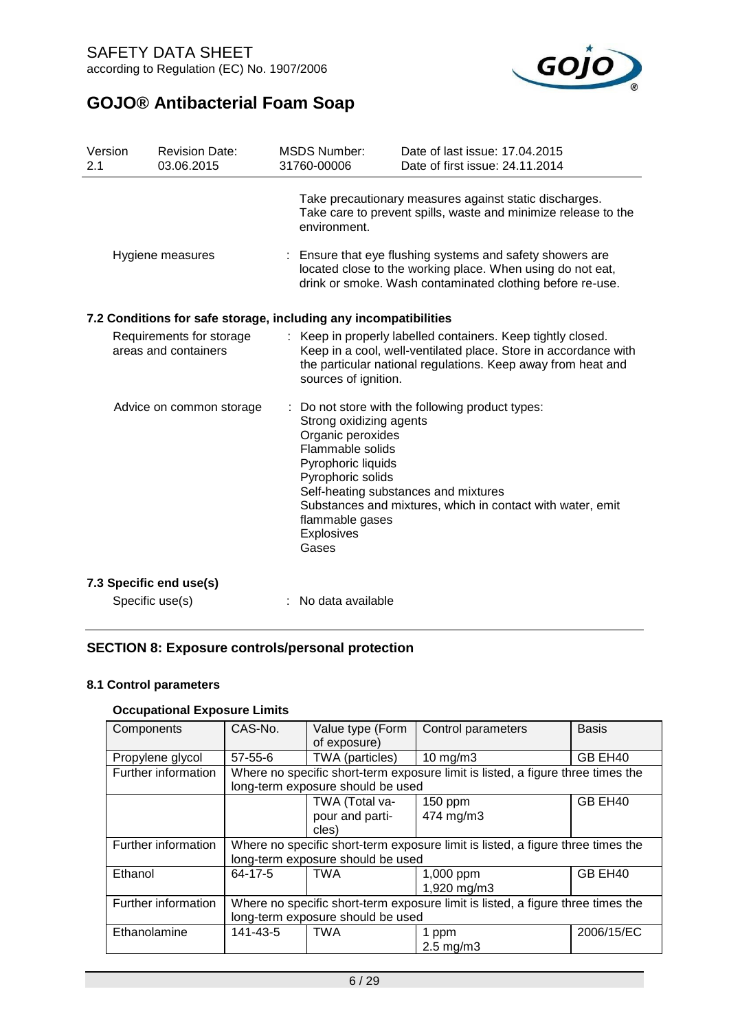

| Version<br>2.1 | <b>Revision Date:</b><br>03.06.2015                              | <b>MSDS Number:</b><br>31760-00006                                                                                                                           | Date of last issue: 17.04.2015<br>Date of first issue: 24.11.2014                                                                                                                             |
|----------------|------------------------------------------------------------------|--------------------------------------------------------------------------------------------------------------------------------------------------------------|-----------------------------------------------------------------------------------------------------------------------------------------------------------------------------------------------|
|                |                                                                  | environment.                                                                                                                                                 | Take precautionary measures against static discharges.<br>Take care to prevent spills, waste and minimize release to the                                                                      |
|                | Hygiene measures                                                 |                                                                                                                                                              | : Ensure that eye flushing systems and safety showers are<br>located close to the working place. When using do not eat,<br>drink or smoke. Wash contaminated clothing before re-use.          |
|                | 7.2 Conditions for safe storage, including any incompatibilities |                                                                                                                                                              |                                                                                                                                                                                               |
|                | Requirements for storage<br>areas and containers                 | sources of ignition.                                                                                                                                         | Keep in properly labelled containers. Keep tightly closed.<br>Keep in a cool, well-ventilated place. Store in accordance with<br>the particular national regulations. Keep away from heat and |
|                | Advice on common storage                                         | Strong oxidizing agents<br>Organic peroxides<br>Flammable solids<br>Pyrophoric liquids<br>Pyrophoric solids<br>flammable gases<br><b>Explosives</b><br>Gases | : Do not store with the following product types:<br>Self-heating substances and mixtures<br>Substances and mixtures, which in contact with water, emit                                        |
|                | 7.3 Specific end use(s)                                          |                                                                                                                                                              |                                                                                                                                                                                               |
|                | Specific use(s)                                                  | No data available                                                                                                                                            |                                                                                                                                                                                               |

### **SECTION 8: Exposure controls/personal protection**

### **8.1 Control parameters**

### **Occupational Exposure Limits**

|                     | CAS-No.                                                                         |                                   |                                                                                 |              |  |  |
|---------------------|---------------------------------------------------------------------------------|-----------------------------------|---------------------------------------------------------------------------------|--------------|--|--|
| Components          |                                                                                 | Value type (Form                  | Control parameters                                                              | <b>Basis</b> |  |  |
|                     |                                                                                 | of exposure)                      |                                                                                 |              |  |  |
| Propylene glycol    | $57 - 55 - 6$                                                                   | TWA (particles)                   | $10$ mg/m $3$                                                                   | GB EH40      |  |  |
| Further information |                                                                                 |                                   | Where no specific short-term exposure limit is listed, a figure three times the |              |  |  |
|                     |                                                                                 | long-term exposure should be used |                                                                                 |              |  |  |
|                     |                                                                                 | TWA (Total va-                    | $150$ ppm                                                                       | GB EH40      |  |  |
|                     |                                                                                 | pour and parti-                   | 474 mg/m3                                                                       |              |  |  |
|                     |                                                                                 | cles)                             |                                                                                 |              |  |  |
| Further information |                                                                                 |                                   | Where no specific short-term exposure limit is listed, a figure three times the |              |  |  |
|                     |                                                                                 | long-term exposure should be used |                                                                                 |              |  |  |
| Ethanol             | $64 - 17 - 5$                                                                   | <b>TWA</b>                        | 1,000 ppm                                                                       | GB EH40      |  |  |
|                     |                                                                                 |                                   | 1,920 mg/m3                                                                     |              |  |  |
| Further information | Where no specific short-term exposure limit is listed, a figure three times the |                                   |                                                                                 |              |  |  |
|                     | long-term exposure should be used                                               |                                   |                                                                                 |              |  |  |
| Ethanolamine        | 141-43-5                                                                        | TWA                               | 1 ppm                                                                           | 2006/15/EC   |  |  |
|                     |                                                                                 |                                   | $2.5 \text{ mg/m}$ 3                                                            |              |  |  |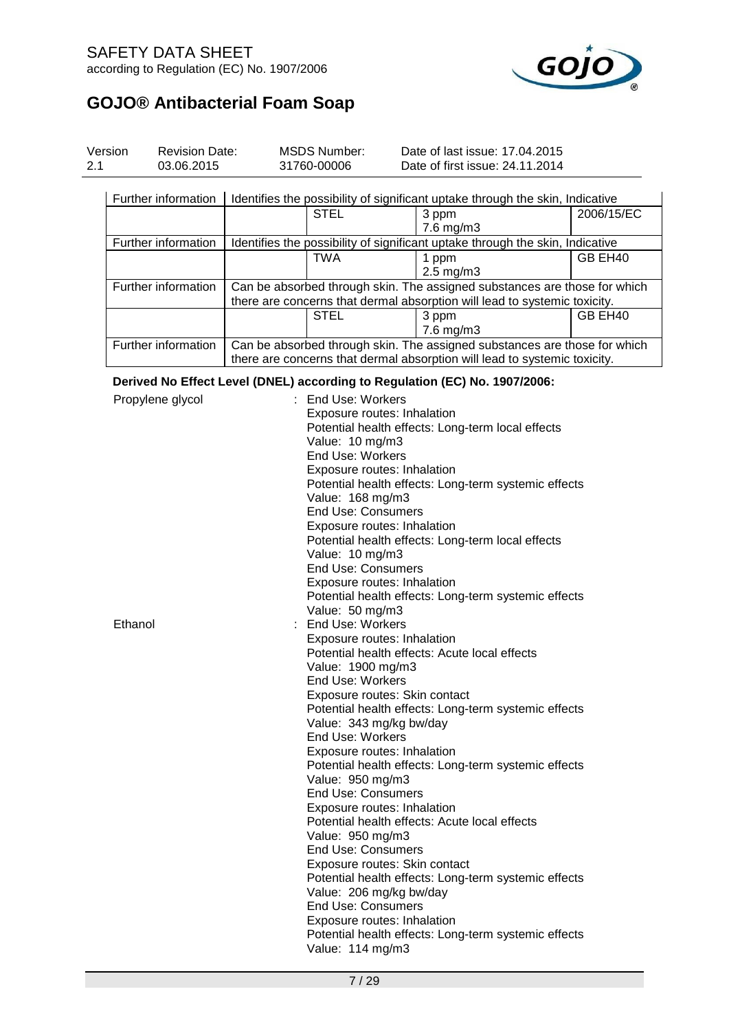## SAFETY DATA SHEET according to Regulation (EC) No. 1907/2006



| Version<br>2.1 | <b>Revision Date:</b><br>03.06.2015 | <b>MSDS Number:</b><br>31760-00006                | Date of last issue: 17.04.2015<br>Date of first issue: 24.11.2014                                                                                      |            |  |  |  |
|----------------|-------------------------------------|---------------------------------------------------|--------------------------------------------------------------------------------------------------------------------------------------------------------|------------|--|--|--|
|                | Further information                 | <b>STEL</b>                                       | Identifies the possibility of significant uptake through the skin, Indicative<br>3 ppm                                                                 | 2006/15/EC |  |  |  |
|                |                                     |                                                   | $7.6$ mg/m $3$                                                                                                                                         |            |  |  |  |
|                | Further information                 |                                                   | Identifies the possibility of significant uptake through the skin, Indicative                                                                          |            |  |  |  |
|                |                                     | <b>TWA</b>                                        | 1 ppm<br>$2.5$ mg/m $3$                                                                                                                                | GB EH40    |  |  |  |
|                | Further information                 |                                                   | Can be absorbed through skin. The assigned substances are those for which<br>there are concerns that dermal absorption will lead to systemic toxicity. |            |  |  |  |
|                |                                     | <b>STEL</b>                                       | 3 ppm<br>7.6 mg/m3                                                                                                                                     | GB EH40    |  |  |  |
|                | Further information                 |                                                   | Can be absorbed through skin. The assigned substances are those for which<br>there are concerns that dermal absorption will lead to systemic toxicity. |            |  |  |  |
|                |                                     |                                                   | Derived No Effect Level (DNEL) according to Regulation (EC) No. 1907/2006:                                                                             |            |  |  |  |
|                | Propylene glycol                    | : End Use: Workers                                |                                                                                                                                                        |            |  |  |  |
|                |                                     |                                                   | Exposure routes: Inhalation                                                                                                                            |            |  |  |  |
|                |                                     |                                                   | Potential health effects: Long-term local effects                                                                                                      |            |  |  |  |
|                |                                     | Value: 10 mg/m3<br><b>End Use: Workers</b>        |                                                                                                                                                        |            |  |  |  |
|                |                                     |                                                   | Exposure routes: Inhalation                                                                                                                            |            |  |  |  |
|                |                                     |                                                   | Potential health effects: Long-term systemic effects                                                                                                   |            |  |  |  |
|                |                                     | Value: 168 mg/m3                                  |                                                                                                                                                        |            |  |  |  |
|                |                                     | <b>End Use: Consumers</b>                         |                                                                                                                                                        |            |  |  |  |
|                |                                     |                                                   | Exposure routes: Inhalation                                                                                                                            |            |  |  |  |
|                |                                     | Potential health effects: Long-term local effects |                                                                                                                                                        |            |  |  |  |
|                |                                     | Value: 10 mg/m3                                   |                                                                                                                                                        |            |  |  |  |
|                |                                     | <b>End Use: Consumers</b>                         | Exposure routes: Inhalation                                                                                                                            |            |  |  |  |
|                |                                     |                                                   | Potential health effects: Long-term systemic effects                                                                                                   |            |  |  |  |
|                |                                     | Value: 50 mg/m3                                   |                                                                                                                                                        |            |  |  |  |
| Ethanol        |                                     | End Use: Workers                                  |                                                                                                                                                        |            |  |  |  |
|                |                                     |                                                   | Exposure routes: Inhalation                                                                                                                            |            |  |  |  |
|                |                                     |                                                   | Potential health effects: Acute local effects                                                                                                          |            |  |  |  |
|                |                                     | Value: 1900 mg/m3                                 |                                                                                                                                                        |            |  |  |  |
|                |                                     | <b>End Use: Workers</b>                           |                                                                                                                                                        |            |  |  |  |
|                |                                     |                                                   | Exposure routes: Skin contact<br>Potential health effects: Long-term systemic effects                                                                  |            |  |  |  |
|                |                                     | Value: 343 mg/kg bw/day                           |                                                                                                                                                        |            |  |  |  |
|                |                                     | End Use: Workers                                  |                                                                                                                                                        |            |  |  |  |
|                |                                     |                                                   | Exposure routes: Inhalation                                                                                                                            |            |  |  |  |
|                |                                     |                                                   | Potential health effects: Long-term systemic effects                                                                                                   |            |  |  |  |
|                |                                     | Value: 950 mg/m3                                  |                                                                                                                                                        |            |  |  |  |
|                |                                     | <b>End Use: Consumers</b>                         |                                                                                                                                                        |            |  |  |  |
|                |                                     |                                                   | Exposure routes: Inhalation                                                                                                                            |            |  |  |  |
|                |                                     | Value: 950 mg/m3                                  | Potential health effects: Acute local effects                                                                                                          |            |  |  |  |
|                |                                     | <b>End Use: Consumers</b>                         |                                                                                                                                                        |            |  |  |  |
|                |                                     |                                                   | Exposure routes: Skin contact                                                                                                                          |            |  |  |  |
|                |                                     |                                                   | Potential health effects: Long-term systemic effects                                                                                                   |            |  |  |  |
|                |                                     | Value: 206 mg/kg bw/day                           |                                                                                                                                                        |            |  |  |  |
|                |                                     | <b>End Use: Consumers</b>                         |                                                                                                                                                        |            |  |  |  |
|                |                                     |                                                   | Exposure routes: Inhalation                                                                                                                            |            |  |  |  |
|                |                                     | Value: 114 mg/m3                                  | Potential health effects: Long-term systemic effects                                                                                                   |            |  |  |  |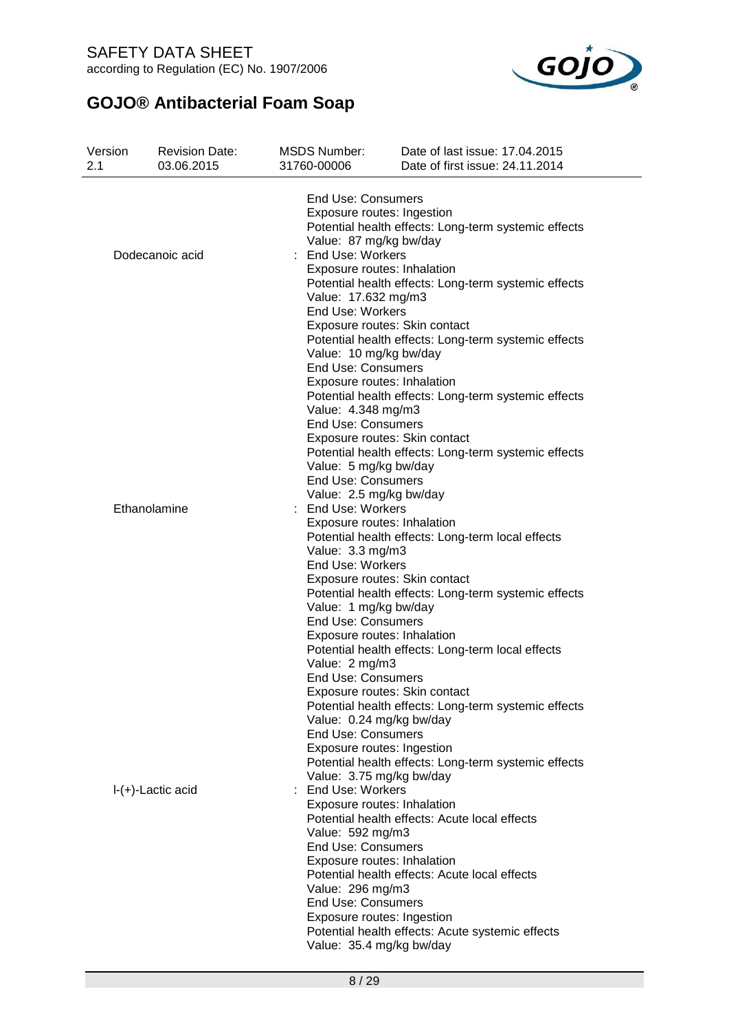SAFETY DATA SHEET according to Regulation (EC) No. 1907/2006



| Version<br>2.1 | <b>Revision Date:</b><br>03.06.2015 | <b>MSDS Number:</b><br>31760-00006                       | Date of last issue: 17.04.2015<br>Date of first issue: 24.11.2014                     |
|----------------|-------------------------------------|----------------------------------------------------------|---------------------------------------------------------------------------------------|
|                |                                     | <b>End Use: Consumers</b><br>Exposure routes: Ingestion  | Potential health effects: Long-term systemic effects                                  |
|                | Dodecanoic acid                     | Value: 87 mg/kg bw/day<br><b>End Use: Workers</b>        |                                                                                       |
|                |                                     | Exposure routes: Inhalation                              | Potential health effects: Long-term systemic effects                                  |
|                |                                     | Value: 17.632 mg/m3                                      |                                                                                       |
|                |                                     | End Use: Workers                                         |                                                                                       |
|                |                                     |                                                          | Exposure routes: Skin contact<br>Potential health effects: Long-term systemic effects |
|                |                                     | Value: 10 mg/kg bw/day                                   |                                                                                       |
|                |                                     | <b>End Use: Consumers</b><br>Exposure routes: Inhalation |                                                                                       |
|                |                                     |                                                          | Potential health effects: Long-term systemic effects                                  |
|                |                                     | Value: 4.348 mg/m3                                       |                                                                                       |
|                |                                     | <b>End Use: Consumers</b>                                | Exposure routes: Skin contact                                                         |
|                |                                     |                                                          | Potential health effects: Long-term systemic effects                                  |
|                |                                     | Value: 5 mg/kg bw/day<br><b>End Use: Consumers</b>       |                                                                                       |
|                |                                     | Value: 2.5 mg/kg bw/day                                  |                                                                                       |
|                | Ethanolamine                        | : End Use: Workers                                       |                                                                                       |
|                |                                     | Exposure routes: Inhalation                              | Potential health effects: Long-term local effects                                     |
|                |                                     | Value: 3.3 mg/m3                                         |                                                                                       |
|                |                                     | End Use: Workers                                         | Exposure routes: Skin contact                                                         |
|                |                                     |                                                          | Potential health effects: Long-term systemic effects                                  |
|                |                                     | Value: 1 mg/kg bw/day                                    |                                                                                       |
|                |                                     | <b>End Use: Consumers</b><br>Exposure routes: Inhalation |                                                                                       |
|                |                                     |                                                          | Potential health effects: Long-term local effects                                     |
|                |                                     | Value: 2 mg/m3<br><b>End Use: Consumers</b>              |                                                                                       |
|                |                                     |                                                          | Exposure routes: Skin contact                                                         |
|                |                                     |                                                          | Potential health effects: Long-term systemic effects                                  |
|                |                                     | Value: 0.24 mg/kg bw/day<br><b>End Use: Consumers</b>    |                                                                                       |
|                |                                     | Exposure routes: Ingestion                               |                                                                                       |
|                |                                     | Value: 3.75 mg/kg bw/day                                 | Potential health effects: Long-term systemic effects                                  |
|                | $I-(+)$ -Lactic acid                | : End Use: Workers                                       |                                                                                       |
|                |                                     | Exposure routes: Inhalation                              |                                                                                       |
|                |                                     | Value: 592 mg/m3                                         | Potential health effects: Acute local effects                                         |
|                |                                     | <b>End Use: Consumers</b>                                |                                                                                       |
|                |                                     | Exposure routes: Inhalation                              | Potential health effects: Acute local effects                                         |
|                |                                     | Value: 296 mg/m3                                         |                                                                                       |
|                |                                     | <b>End Use: Consumers</b>                                |                                                                                       |
|                |                                     | Exposure routes: Ingestion                               | Potential health effects: Acute systemic effects                                      |
|                |                                     | Value: 35.4 mg/kg bw/day                                 |                                                                                       |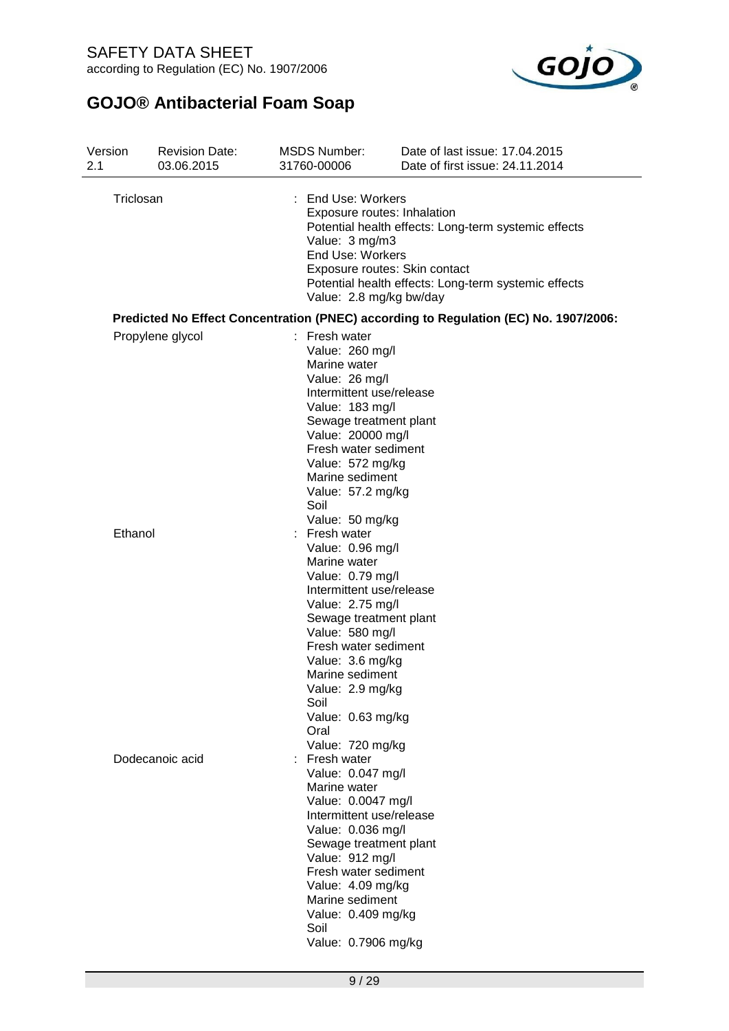

| Version<br>2.1 | <b>Revision Date:</b><br>03.06.2015 | <b>MSDS Number:</b><br>31760-00006                                                                                                                                                                                                                                                                            | Date of last issue: 17.04.2015<br>Date of first issue: 24.11.2014                                                                                                            |
|----------------|-------------------------------------|---------------------------------------------------------------------------------------------------------------------------------------------------------------------------------------------------------------------------------------------------------------------------------------------------------------|------------------------------------------------------------------------------------------------------------------------------------------------------------------------------|
| Triclosan      |                                     | : End Use: Workers<br>Value: 3 mg/m3<br>End Use: Workers<br>Value: 2.8 mg/kg bw/day                                                                                                                                                                                                                           | Exposure routes: Inhalation<br>Potential health effects: Long-term systemic effects<br>Exposure routes: Skin contact<br>Potential health effects: Long-term systemic effects |
|                |                                     |                                                                                                                                                                                                                                                                                                               | Predicted No Effect Concentration (PNEC) according to Regulation (EC) No. 1907/2006:                                                                                         |
|                | Propylene glycol                    | $:$ Fresh water<br>Value: 260 mg/l<br>Marine water<br>Value: 26 mg/l<br>Intermittent use/release<br>Value: 183 mg/l<br>Sewage treatment plant<br>Value: 20000 mg/l<br>Fresh water sediment<br>Value: 572 mg/kg<br>Marine sediment<br>Value: 57.2 mg/kg<br>Soil                                                |                                                                                                                                                                              |
| Ethanol        |                                     | Value: 50 mg/kg<br>Fresh water<br>Value: 0.96 mg/l<br>Marine water<br>Value: 0.79 mg/l<br>Intermittent use/release<br>Value: 2.75 mg/l<br>Sewage treatment plant<br>Value: 580 mg/l<br>Fresh water sediment<br>Value: 3.6 mg/kg<br>Marine sediment<br>Value: 2.9 mg/kg<br>Soil<br>Value: 0.63 mg/kg<br>Oral   |                                                                                                                                                                              |
|                | Dodecanoic acid                     | Value: 720 mg/kg<br>Fresh water<br>Value: 0.047 mg/l<br>Marine water<br>Value: 0.0047 mg/l<br>Intermittent use/release<br>Value: 0.036 mg/l<br>Sewage treatment plant<br>Value: 912 mg/l<br>Fresh water sediment<br>Value: 4.09 mg/kg<br>Marine sediment<br>Value: 0.409 mg/kg<br>Soil<br>Value: 0.7906 mg/kg |                                                                                                                                                                              |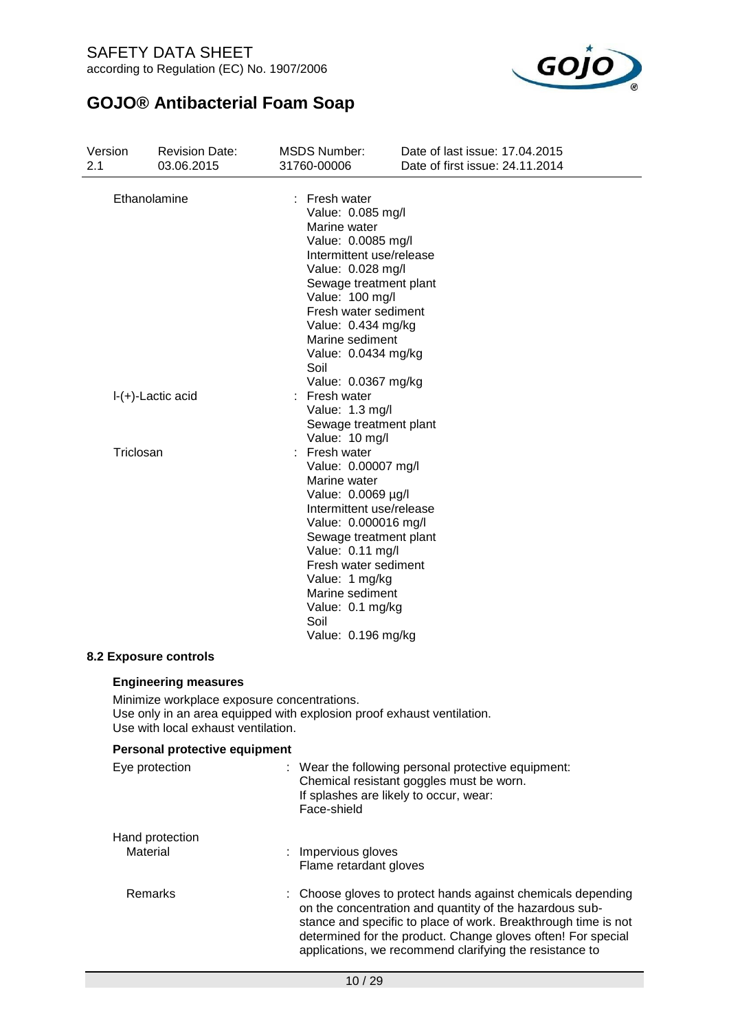SAFETY DATA SHEET according to Regulation (EC) No. 1907/2006



| Version<br>2.1 |                      | <b>Revision Date:</b><br>03.06.2015                                                                                                                                                         | <b>MSDS Number:</b><br>31760-00006                                                                                                                                                                                                                                                                          | Date of last issue: 17,04,2015<br>Date of first issue: 24.11.2014                                                                                                                                                                                                                                                  |
|----------------|----------------------|---------------------------------------------------------------------------------------------------------------------------------------------------------------------------------------------|-------------------------------------------------------------------------------------------------------------------------------------------------------------------------------------------------------------------------------------------------------------------------------------------------------------|--------------------------------------------------------------------------------------------------------------------------------------------------------------------------------------------------------------------------------------------------------------------------------------------------------------------|
|                | Ethanolamine         |                                                                                                                                                                                             | Fresh water<br>Value: 0.085 mg/l<br>Marine water<br>Value: 0.0085 mg/l<br>Intermittent use/release<br>Value: 0.028 mg/l<br>Sewage treatment plant<br>Value: 100 mg/l<br>Fresh water sediment<br>Value: 0.434 mg/kg<br>Marine sediment<br>Value: 0.0434 mg/kg<br>Soil                                        |                                                                                                                                                                                                                                                                                                                    |
|                | $I-(+)$ -Lactic acid |                                                                                                                                                                                             | Value: 0.0367 mg/kg<br>: Fresh water<br>Value: 1.3 mg/l<br>Sewage treatment plant                                                                                                                                                                                                                           |                                                                                                                                                                                                                                                                                                                    |
|                | Triclosan            |                                                                                                                                                                                             | Value: 10 mg/l<br>Fresh water<br>Value: 0.00007 mg/l<br>Marine water<br>Value: 0.0069 µg/l<br>Intermittent use/release<br>Value: 0.000016 mg/l<br>Sewage treatment plant<br>Value: 0.11 mg/l<br>Fresh water sediment<br>Value: 1 mg/kg<br>Marine sediment<br>Value: 0.1 mg/kg<br>Soil<br>Value: 0.196 mg/kg |                                                                                                                                                                                                                                                                                                                    |
|                |                      | <b>8.2 Exposure controls</b>                                                                                                                                                                |                                                                                                                                                                                                                                                                                                             |                                                                                                                                                                                                                                                                                                                    |
|                |                      | <b>Engineering measures</b><br>Minimize workplace exposure concentrations.<br>Use only in an area equipped with explosion proof exhaust ventilation.<br>Use with local exhaust ventilation. |                                                                                                                                                                                                                                                                                                             |                                                                                                                                                                                                                                                                                                                    |
|                |                      | Personal protective equipment                                                                                                                                                               |                                                                                                                                                                                                                                                                                                             |                                                                                                                                                                                                                                                                                                                    |
|                | Eye protection       |                                                                                                                                                                                             | Face-shield                                                                                                                                                                                                                                                                                                 | Wear the following personal protective equipment:<br>Chemical resistant goggles must be worn.<br>If splashes are likely to occur, wear:                                                                                                                                                                            |
|                | Material             | Hand protection                                                                                                                                                                             | Impervious gloves<br>Flame retardant gloves                                                                                                                                                                                                                                                                 |                                                                                                                                                                                                                                                                                                                    |
|                | Remarks              |                                                                                                                                                                                             |                                                                                                                                                                                                                                                                                                             | Choose gloves to protect hands against chemicals depending<br>on the concentration and quantity of the hazardous sub-<br>stance and specific to place of work. Breakthrough time is not<br>determined for the product. Change gloves often! For special<br>applications, we recommend clarifying the resistance to |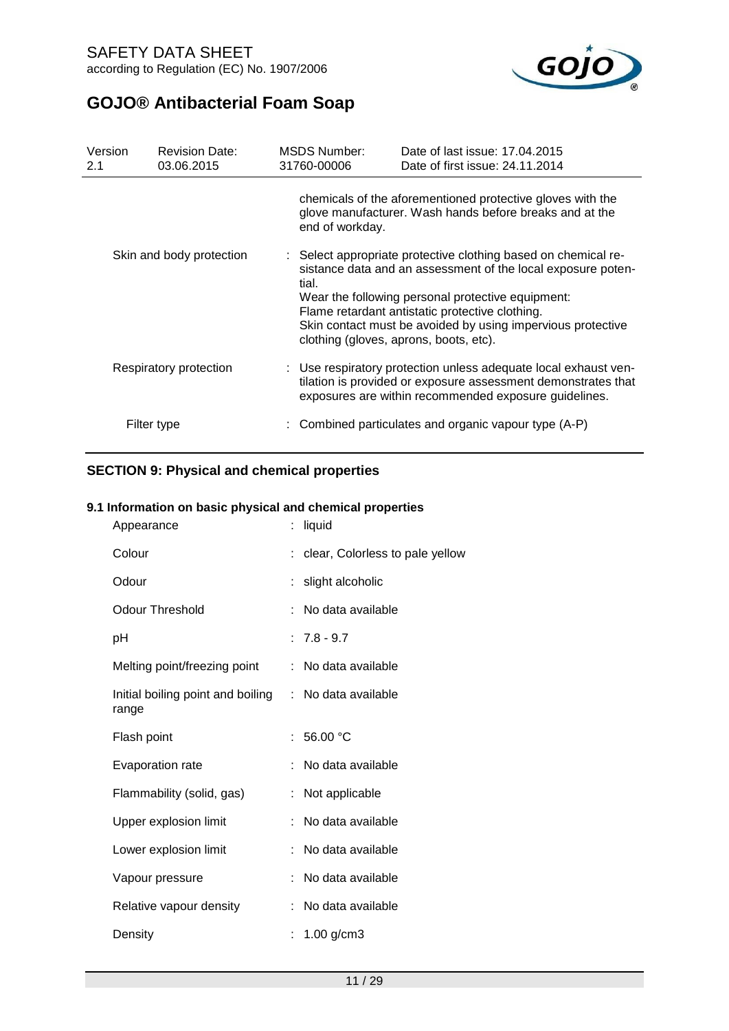

| Version<br>2.1           | <b>Revision Date:</b><br>03.06.2015 | <b>MSDS Number:</b><br>31760-00006 | Date of last issue: 17,04,2015<br>Date of first issue: 24.11.2014                                                                                                                                                                                                                                                                               |
|--------------------------|-------------------------------------|------------------------------------|-------------------------------------------------------------------------------------------------------------------------------------------------------------------------------------------------------------------------------------------------------------------------------------------------------------------------------------------------|
|                          |                                     | end of workday.                    | chemicals of the aforementioned protective gloves with the<br>glove manufacturer. Wash hands before breaks and at the                                                                                                                                                                                                                           |
| Skin and body protection |                                     | tial.                              | : Select appropriate protective clothing based on chemical re-<br>sistance data and an assessment of the local exposure poten-<br>Wear the following personal protective equipment:<br>Flame retardant antistatic protective clothing.<br>Skin contact must be avoided by using impervious protective<br>clothing (gloves, aprons, boots, etc). |
| Respiratory protection   |                                     |                                    | : Use respiratory protection unless adequate local exhaust ven-<br>tilation is provided or exposure assessment demonstrates that<br>exposures are within recommended exposure guidelines.                                                                                                                                                       |
|                          | Filter type                         |                                    | : Combined particulates and organic vapour type (A-P)                                                                                                                                                                                                                                                                                           |

## **SECTION 9: Physical and chemical properties**

### **9.1 Information on basic physical and chemical properties**

| Appearance                                 | liquid                            |
|--------------------------------------------|-----------------------------------|
| Colour                                     | : clear, Colorless to pale yellow |
| Odour                                      | : slight alcoholic                |
| <b>Odour Threshold</b>                     | No data available                 |
| рH                                         | $: 7.8 - 9.7$                     |
| Melting point/freezing point               | : No data available               |
| Initial boiling point and boiling<br>range | : No data available               |
| Flash point                                | 56.00 °C                          |
| Evaporation rate                           | No data available                 |
| Flammability (solid, gas)                  | : Not applicable                  |
| Upper explosion limit                      | No data available                 |
| Lower explosion limit                      | : No data available               |
| Vapour pressure                            | No data available                 |
| Relative vapour density                    | No data available                 |
| Density                                    | 1.00 g/cm3                        |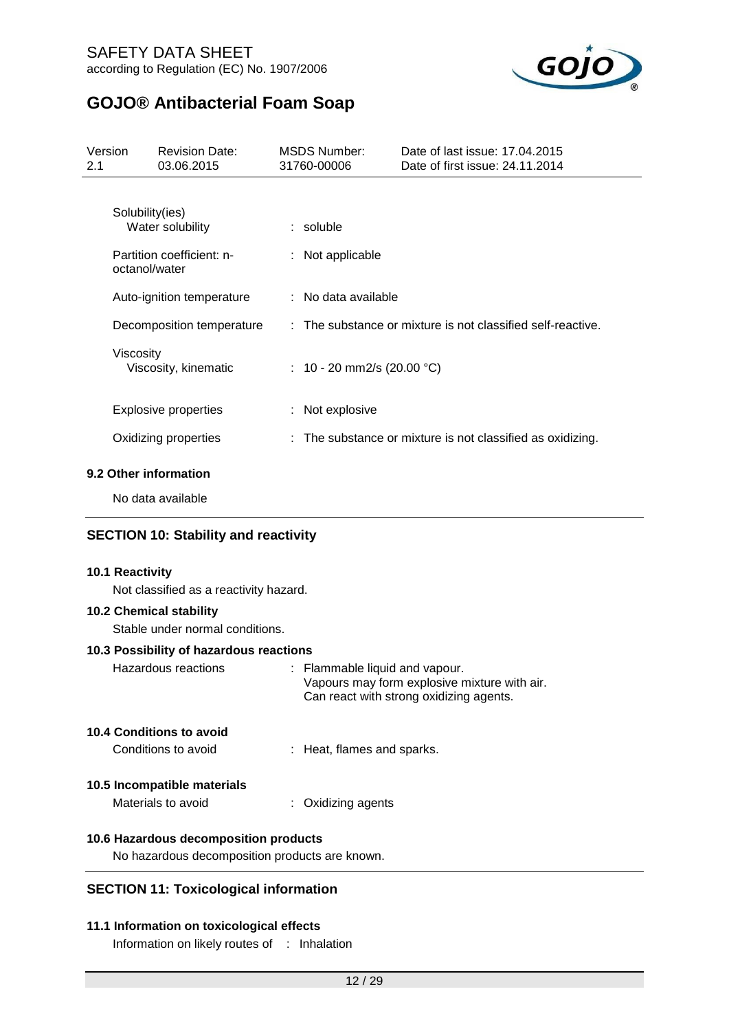

| Version<br>2.1 |                  | <b>Revision Date:</b><br>03.06.2015           | <b>MSDS Number:</b><br>31760-00006 | Date of last issue: 17.04.2015<br>Date of first issue: 24.11.2014 |
|----------------|------------------|-----------------------------------------------|------------------------------------|-------------------------------------------------------------------|
|                | Solubility(ies)  | Water solubility<br>Partition coefficient: n- | $:$ soluble<br>$:$ Not applicable  |                                                                   |
|                | octanol/water    | Auto-ignition temperature                     | : No data available                |                                                                   |
|                |                  | Decomposition temperature                     |                                    | : The substance or mixture is not classified self-reactive.       |
|                | <b>Viscosity</b> | Viscosity, kinematic                          | : 10 - 20 mm2/s (20.00 °C)         |                                                                   |
|                |                  | <b>Explosive properties</b>                   | : Not explosive                    |                                                                   |
|                |                  | Oxidizing properties                          |                                    | : The substance or mixture is not classified as oxidizing.        |
|                |                  | .                                             |                                    |                                                                   |

### **9.2 Other information**

No data available

### **SECTION 10: Stability and reactivity**

#### **10.1 Reactivity**

Not classified as a reactivity hazard.

### **10.2 Chemical stability**

Stable under normal conditions.

### **10.3 Possibility of hazardous reactions**

| Hazardous reactions      | : Flammable liquid and vapour.<br>Vapours may form explosive mixture with air.<br>Can react with strong oxidizing agents. |
|--------------------------|---------------------------------------------------------------------------------------------------------------------------|
| 10.4 Conditions to avoid |                                                                                                                           |
| Conditions to avoid      | : Heat, flames and sparks.                                                                                                |

# **10.5 Incompatible materials**

| Materials to avoid | : Oxidizing agents |
|--------------------|--------------------|
|                    |                    |

### **10.6 Hazardous decomposition products**

No hazardous decomposition products are known.

### **SECTION 11: Toxicological information**

### **11.1 Information on toxicological effects**

Information on likely routes of : Inhalation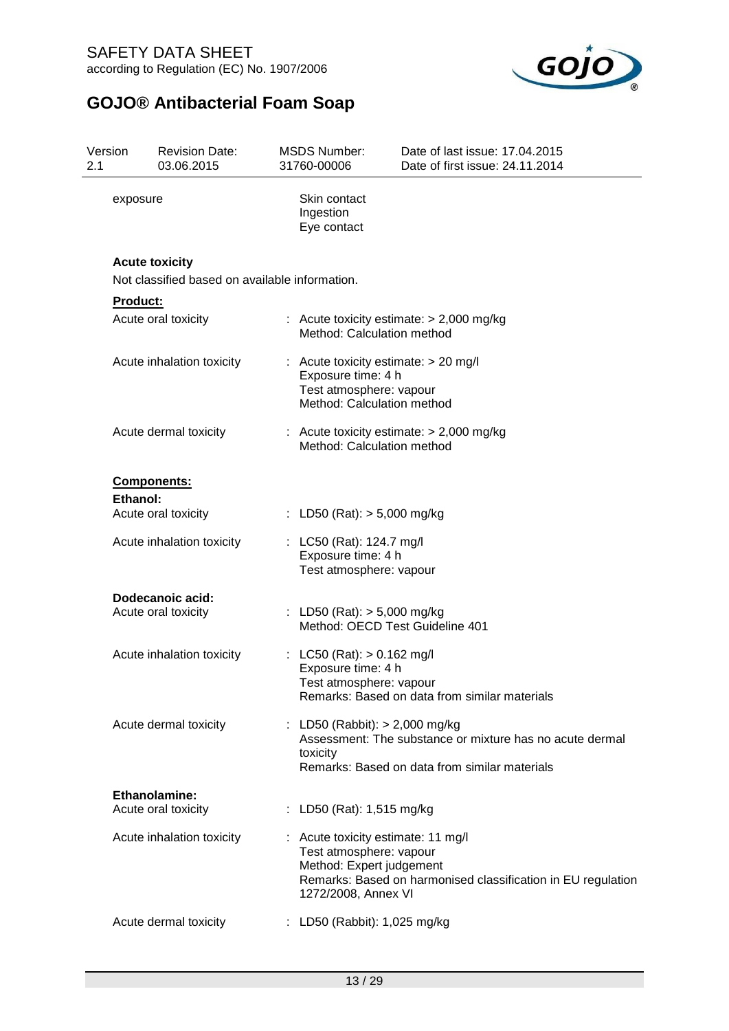

| 2.1 | Version  | <b>Revision Date:</b><br>03.06.2015                                     | <b>MSDS Number:</b><br>31760-00006                                                                                    | Date of last issue: 17.04.2015<br>Date of first issue: 24.11.2014                                         |
|-----|----------|-------------------------------------------------------------------------|-----------------------------------------------------------------------------------------------------------------------|-----------------------------------------------------------------------------------------------------------|
|     | exposure |                                                                         | Skin contact<br>Ingestion<br>Eye contact                                                                              |                                                                                                           |
|     |          | <b>Acute toxicity</b><br>Not classified based on available information. |                                                                                                                       |                                                                                                           |
|     | Product: |                                                                         |                                                                                                                       |                                                                                                           |
|     |          | Acute oral toxicity                                                     | Method: Calculation method                                                                                            | : Acute toxicity estimate: $> 2,000$ mg/kg                                                                |
|     |          | Acute inhalation toxicity                                               | : Acute toxicity estimate: $> 20$ mg/l<br>Exposure time: 4 h<br>Test atmosphere: vapour<br>Method: Calculation method |                                                                                                           |
|     |          | Acute dermal toxicity                                                   | Method: Calculation method                                                                                            | : Acute toxicity estimate: $> 2,000$ mg/kg                                                                |
|     |          | Components:                                                             |                                                                                                                       |                                                                                                           |
|     | Ethanol: |                                                                         |                                                                                                                       |                                                                                                           |
|     |          | Acute oral toxicity                                                     | : LD50 (Rat): $> 5,000$ mg/kg                                                                                         |                                                                                                           |
|     |          | Acute inhalation toxicity                                               | : LC50 (Rat): 124.7 mg/l<br>Exposure time: 4 h<br>Test atmosphere: vapour                                             |                                                                                                           |
|     |          | Dodecanoic acid:                                                        |                                                                                                                       |                                                                                                           |
|     |          | Acute oral toxicity                                                     | : LD50 (Rat): $> 5,000$ mg/kg<br>Method: OECD Test Guideline 401                                                      |                                                                                                           |
|     |          | Acute inhalation toxicity                                               | : LC50 (Rat): $> 0.162$ mg/l<br>Exposure time: 4 h<br>Test atmosphere: vapour                                         | Remarks: Based on data from similar materials                                                             |
|     |          | Acute dermal toxicity                                                   | : LD50 (Rabbit): > 2,000 mg/kg<br>toxicity                                                                            | Assessment: The substance or mixture has no acute dermal<br>Remarks: Based on data from similar materials |
|     |          | <b>Ethanolamine:</b><br>Acute oral toxicity                             | : LD50 (Rat): 1,515 mg/kg                                                                                             |                                                                                                           |
|     |          | Acute inhalation toxicity                                               | : Acute toxicity estimate: 11 mg/l<br>Test atmosphere: vapour<br>Method: Expert judgement<br>1272/2008, Annex VI      | Remarks: Based on harmonised classification in EU regulation                                              |
|     |          | Acute dermal toxicity                                                   | : LD50 (Rabbit): 1,025 mg/kg                                                                                          |                                                                                                           |
|     |          |                                                                         |                                                                                                                       |                                                                                                           |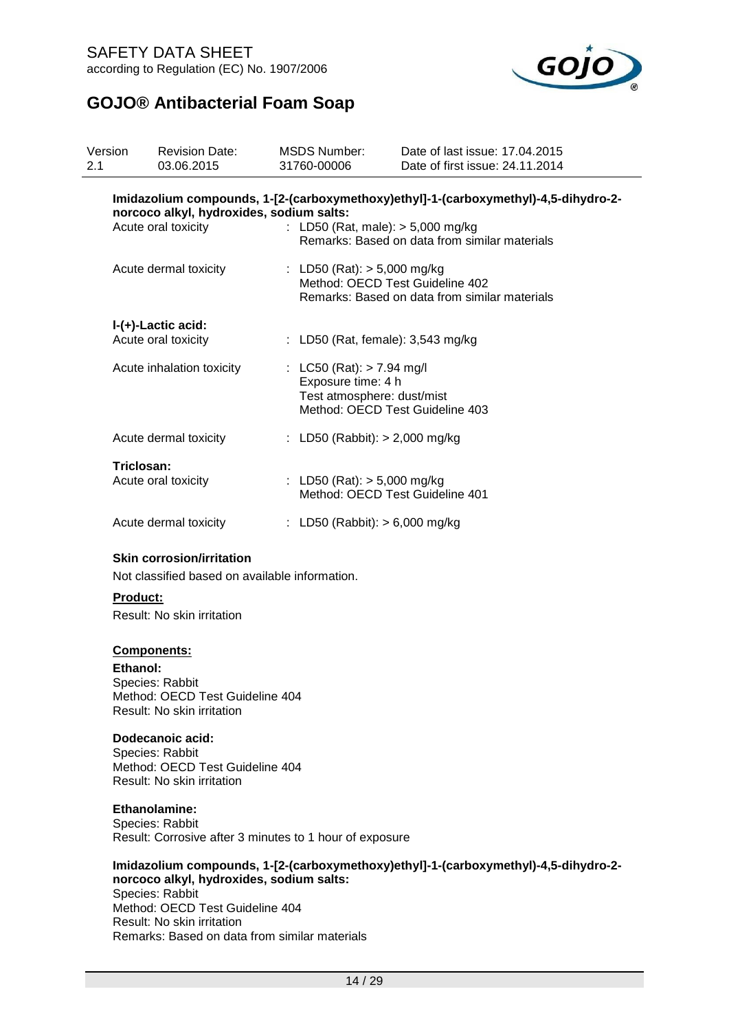

| Version<br>2.1 | <b>Revision Date:</b><br>03.06.2015            | <b>MSDS Number:</b><br>31760-00006                | Date of last issue: 17.04.2015<br>Date of first issue: 24.11.2014                    |
|----------------|------------------------------------------------|---------------------------------------------------|--------------------------------------------------------------------------------------|
|                | norcoco alkyl, hydroxides, sodium salts:       |                                                   | Imidazolium compounds, 1-[2-(carboxymethoxy)ethyl]-1-(carboxymethyl)-4,5-dihydro-2-  |
|                | Acute oral toxicity                            |                                                   | : LD50 (Rat, male): $> 5,000$ mg/kg<br>Remarks: Based on data from similar materials |
|                | Acute dermal toxicity                          | : LD50 (Rat): $> 5,000$ mg/kg                     | Method: OECD Test Guideline 402<br>Remarks: Based on data from similar materials     |
|                | I-(+)-Lactic acid:<br>Acute oral toxicity      |                                                   | : LD50 (Rat, female): $3,543$ mg/kg                                                  |
|                | Acute inhalation toxicity                      | : LC50 (Rat): $> 7.94$ mg/l<br>Exposure time: 4 h | Test atmosphere: dust/mist<br>Method: OECD Test Guideline 403                        |
|                | Acute dermal toxicity                          |                                                   | : LD50 (Rabbit): $> 2,000$ mg/kg                                                     |
|                | Triclosan:<br>Acute oral toxicity              | : LD50 (Rat): $> 5,000$ mg/kg                     | Method: OECD Test Guideline 401                                                      |
|                | Acute dermal toxicity                          |                                                   | : LD50 (Rabbit): $> 6,000$ mg/kg                                                     |
|                | <b>Skin corrosion/irritation</b>               |                                                   |                                                                                      |
|                | Not classified based on available information. |                                                   |                                                                                      |

### **Product:**

Result: No skin irritation

### **Components:**

**Ethanol:** Species: Rabbit Method: OECD Test Guideline 404 Result: No skin irritation

#### **Dodecanoic acid:**

Species: Rabbit Method: OECD Test Guideline 404 Result: No skin irritation

#### **Ethanolamine:**

Species: Rabbit Result: Corrosive after 3 minutes to 1 hour of exposure

#### **Imidazolium compounds, 1-[2-(carboxymethoxy)ethyl]-1-(carboxymethyl)-4,5-dihydro-2 norcoco alkyl, hydroxides, sodium salts:** Species: Rabbit Method: OECD Test Guideline 404 Result: No skin irritation Remarks: Based on data from similar materials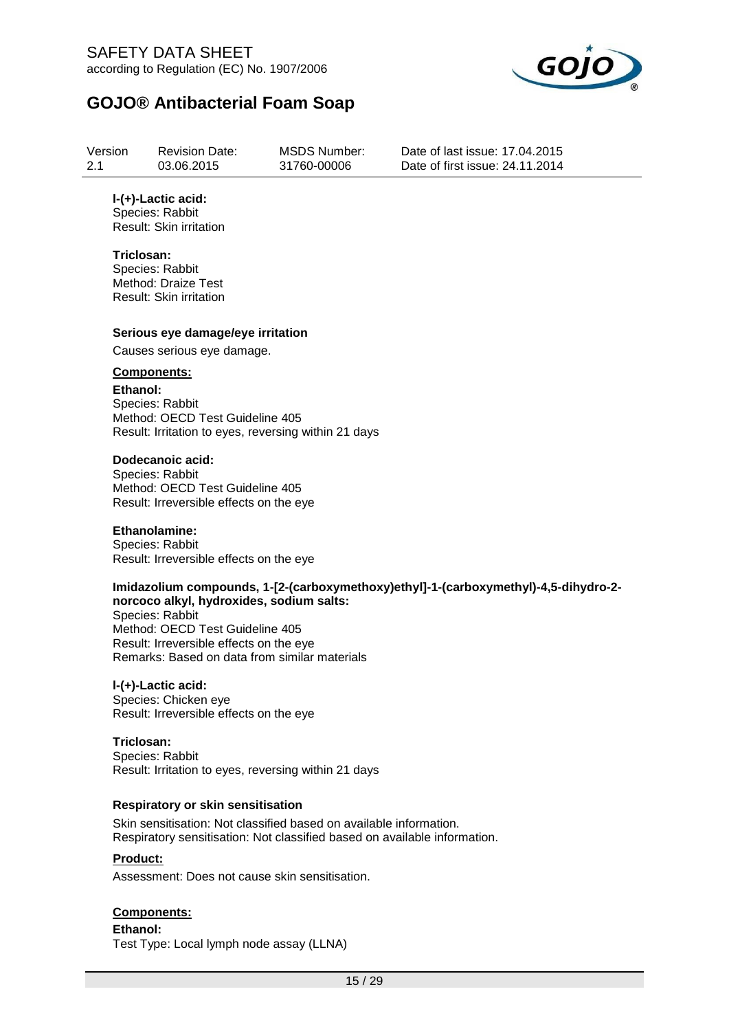

| Version | <b>Revision Date:</b> |
|---------|-----------------------|
| 2.1     | 03.06.2015            |

MSDS Number: 31760-00006

Date of last issue: 17.04.2015 Date of first issue: 24.11.2014

### **l-(+)-Lactic acid:**

Species: Rabbit Result: Skin irritation

### **Triclosan:**

Species: Rabbit Method: Draize Test Result: Skin irritation

### **Serious eye damage/eye irritation**

Causes serious eye damage.

### **Components:**

**Ethanol:**

Species: Rabbit Method: OECD Test Guideline 405 Result: Irritation to eyes, reversing within 21 days

### **Dodecanoic acid:**

Species: Rabbit Method: OECD Test Guideline 405 Result: Irreversible effects on the eye

### **Ethanolamine:**

Species: Rabbit Result: Irreversible effects on the eye

### **Imidazolium compounds, 1-[2-(carboxymethoxy)ethyl]-1-(carboxymethyl)-4,5-dihydro-2 norcoco alkyl, hydroxides, sodium salts:**

Species: Rabbit Method: OECD Test Guideline 405 Result: Irreversible effects on the eye Remarks: Based on data from similar materials

#### **l-(+)-Lactic acid:**

Species: Chicken eye Result: Irreversible effects on the eye

### **Triclosan:**

Species: Rabbit Result: Irritation to eyes, reversing within 21 days

### **Respiratory or skin sensitisation**

Skin sensitisation: Not classified based on available information. Respiratory sensitisation: Not classified based on available information.

### **Product:**

Assessment: Does not cause skin sensitisation.

### **Components:**

#### **Ethanol:** Test Type: Local lymph node assay (LLNA)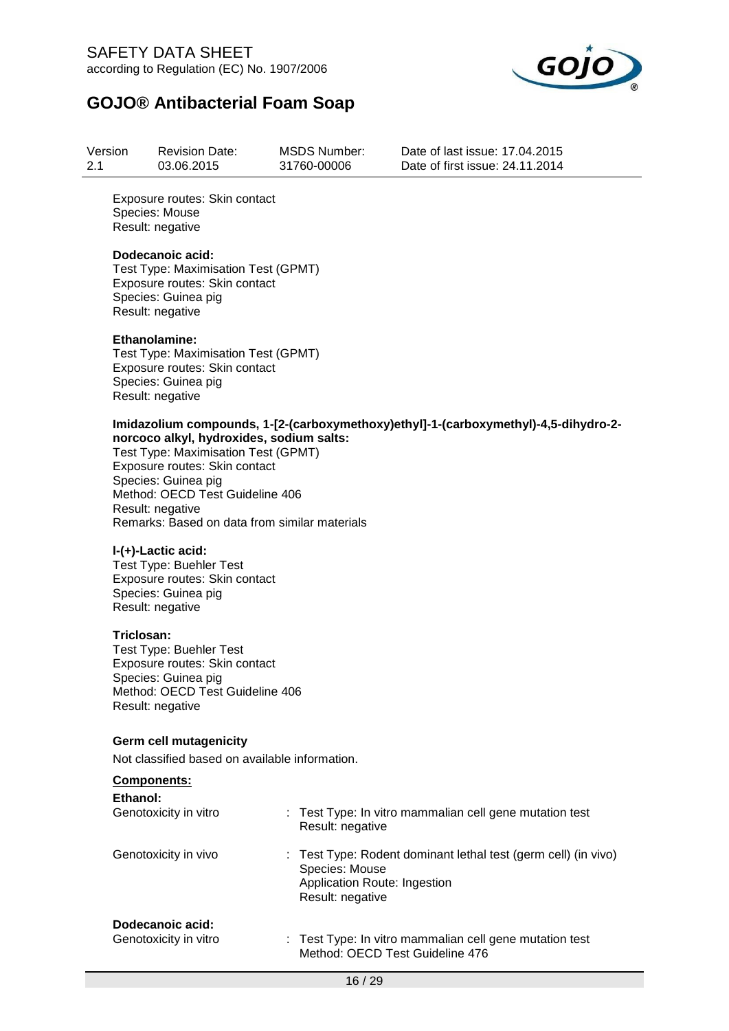

| Version | <b>Revision Date:</b> | MSDS Number: | Date of last issue: 17,04,2015  |
|---------|-----------------------|--------------|---------------------------------|
| 2.1     | 03.06.2015            | 31760-00006  | Date of first issue: 24.11.2014 |

Exposure routes: Skin contact Species: Mouse Result: negative

#### **Dodecanoic acid:**

Test Type: Maximisation Test (GPMT) Exposure routes: Skin contact Species: Guinea pig Result: negative

#### **Ethanolamine:**

Test Type: Maximisation Test (GPMT) Exposure routes: Skin contact Species: Guinea pig Result: negative

#### **Imidazolium compounds, 1-[2-(carboxymethoxy)ethyl]-1-(carboxymethyl)-4,5-dihydro-2 norcoco alkyl, hydroxides, sodium salts:**

Test Type: Maximisation Test (GPMT) Exposure routes: Skin contact Species: Guinea pig Method: OECD Test Guideline 406 Result: negative Remarks: Based on data from similar materials

### **l-(+)-Lactic acid:**

Test Type: Buehler Test Exposure routes: Skin contact Species: Guinea pig Result: negative

#### **Triclosan:**

Test Type: Buehler Test Exposure routes: Skin contact Species: Guinea pig Method: OECD Test Guideline 406 Result: negative

#### **Germ cell mutagenicity**

Not classified based on available information.

| <b>Components:</b> |
|--------------------|
|--------------------|

| Ethanol:<br>Genotoxicity in vitro | : Test Type: In vitro mammalian cell gene mutation test<br>Result: negative                                                          |
|-----------------------------------|--------------------------------------------------------------------------------------------------------------------------------------|
| Genotoxicity in vivo              | : Test Type: Rodent dominant lethal test (germ cell) (in vivo)<br>Species: Mouse<br>Application Route: Ingestion<br>Result: negative |
| Dodecanoic acid:                  |                                                                                                                                      |
| Genotoxicity in vitro             | : Test Type: In vitro mammalian cell gene mutation test<br>Method: OECD Test Guideline 476                                           |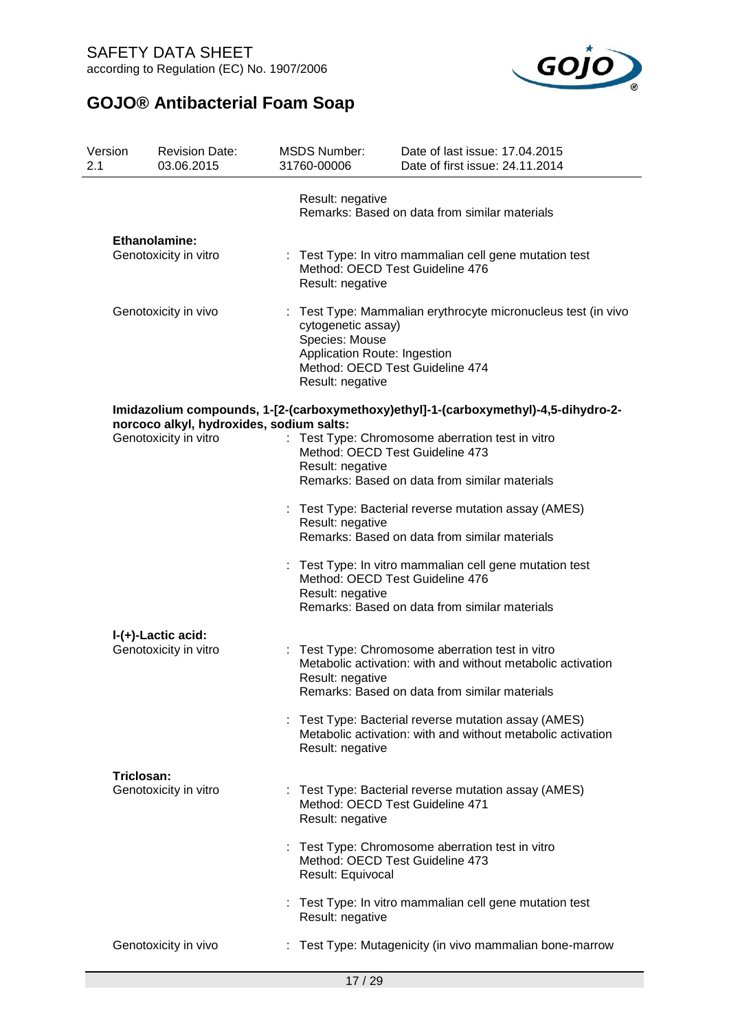

| Version<br>2.1 | <b>Revision Date:</b><br>03.06.2015                               | <b>MSDS Number:</b><br>31760-00006 | Date of last issue: 17.04.2015<br>Date of first issue: 24.11.2014                                                                                                                          |  |  |  |
|----------------|-------------------------------------------------------------------|------------------------------------|--------------------------------------------------------------------------------------------------------------------------------------------------------------------------------------------|--|--|--|
|                |                                                                   | Result: negative                   | Remarks: Based on data from similar materials                                                                                                                                              |  |  |  |
|                | <b>Ethanolamine:</b><br>Genotoxicity in vitro                     | Result: negative                   | Test Type: In vitro mammalian cell gene mutation test<br>Method: OECD Test Guideline 476                                                                                                   |  |  |  |
|                | Genotoxicity in vivo                                              |                                    | Test Type: Mammalian erythrocyte micronucleus test (in vivo<br>cytogenetic assay)<br>Species: Mouse<br>Application Route: Ingestion<br>Method: OECD Test Guideline 474<br>Result: negative |  |  |  |
|                |                                                                   |                                    | Imidazolium compounds, 1-[2-(carboxymethoxy)ethyl]-1-(carboxymethyl)-4,5-dihydro-2-                                                                                                        |  |  |  |
|                | norcoco alkyl, hydroxides, sodium salts:<br>Genotoxicity in vitro | Result: negative                   | Test Type: Chromosome aberration test in vitro<br>Method: OECD Test Guideline 473<br>Remarks: Based on data from similar materials                                                         |  |  |  |
|                |                                                                   | Result: negative                   | Test Type: Bacterial reverse mutation assay (AMES)<br>Remarks: Based on data from similar materials                                                                                        |  |  |  |
|                |                                                                   | Result: negative                   | : Test Type: In vitro mammalian cell gene mutation test<br>Method: OECD Test Guideline 476<br>Remarks: Based on data from similar materials                                                |  |  |  |
|                | I-(+)-Lactic acid:                                                |                                    |                                                                                                                                                                                            |  |  |  |
|                | Genotoxicity in vitro                                             | Result: negative                   | : Test Type: Chromosome aberration test in vitro<br>Metabolic activation: with and without metabolic activation<br>Remarks: Based on data from similar materials                           |  |  |  |
|                |                                                                   | Result: negative                   | Test Type: Bacterial reverse mutation assay (AMES)<br>Metabolic activation: with and without metabolic activation                                                                          |  |  |  |
|                | Triclosan:                                                        |                                    |                                                                                                                                                                                            |  |  |  |
|                | Genotoxicity in vitro                                             | Result: negative                   | : Test Type: Bacterial reverse mutation assay (AMES)<br>Method: OECD Test Guideline 471                                                                                                    |  |  |  |
|                |                                                                   | Result: Equivocal                  | Test Type: Chromosome aberration test in vitro<br>Method: OECD Test Guideline 473                                                                                                          |  |  |  |
|                |                                                                   | Result: negative                   | : Test Type: In vitro mammalian cell gene mutation test                                                                                                                                    |  |  |  |
|                | Genotoxicity in vivo                                              |                                    | Test Type: Mutagenicity (in vivo mammalian bone-marrow                                                                                                                                     |  |  |  |
|                |                                                                   |                                    |                                                                                                                                                                                            |  |  |  |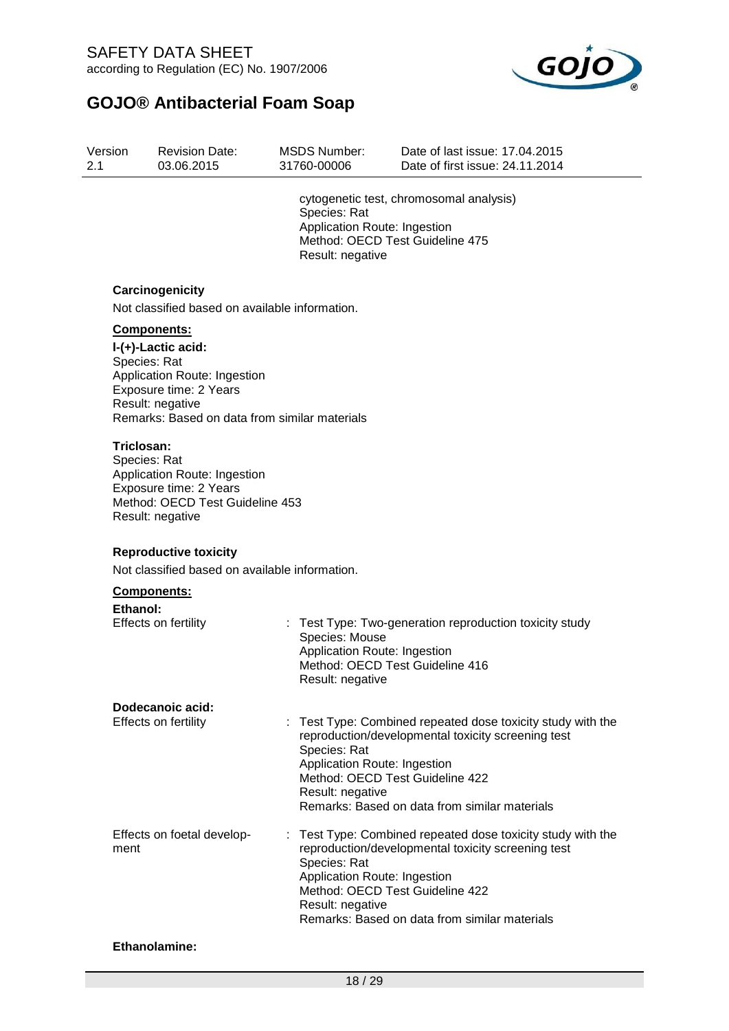

| Version | <b>Revision Date:</b> | MSDS Number: | Date of last issue: 17,04,2015  |
|---------|-----------------------|--------------|---------------------------------|
| 2.1     | 03.06.2015            | 31760-00006  | Date of first issue: 24.11.2014 |

cytogenetic test, chromosomal analysis) Species: Rat Application Route: Ingestion Method: OECD Test Guideline 475 Result: negative

### **Carcinogenicity**

Not classified based on available information.

### **Components:**

**l-(+)-Lactic acid:** Species: Rat Application Route: Ingestion Exposure time: 2 Years Result: negative Remarks: Based on data from similar materials

#### **Triclosan:**

Species: Rat Application Route: Ingestion Exposure time: 2 Years Method: OECD Test Guideline 453 Result: negative

### **Reproductive toxicity**

Not classified based on available information.

#### **Components:**

| Ethanol:                           |                                                                                                                                                                                                                                                                           |
|------------------------------------|---------------------------------------------------------------------------------------------------------------------------------------------------------------------------------------------------------------------------------------------------------------------------|
| Effects on fertility               | : Test Type: Two-generation reproduction toxicity study<br>Species: Mouse<br>Application Route: Ingestion<br>Method: OECD Test Guideline 416<br>Result: negative                                                                                                          |
| Dodecanoic acid:                   |                                                                                                                                                                                                                                                                           |
| Effects on fertility               | : Test Type: Combined repeated dose toxicity study with the<br>reproduction/developmental toxicity screening test<br>Species: Rat<br>Application Route: Ingestion<br>Method: OECD Test Guideline 422<br>Result: negative<br>Remarks: Based on data from similar materials |
| Effects on foetal develop-<br>ment | : Test Type: Combined repeated dose toxicity study with the<br>reproduction/developmental toxicity screening test<br>Species: Rat<br>Application Route: Ingestion<br>Method: OECD Test Guideline 422<br>Result: negative<br>Remarks: Based on data from similar materials |

### **Ethanolamine:**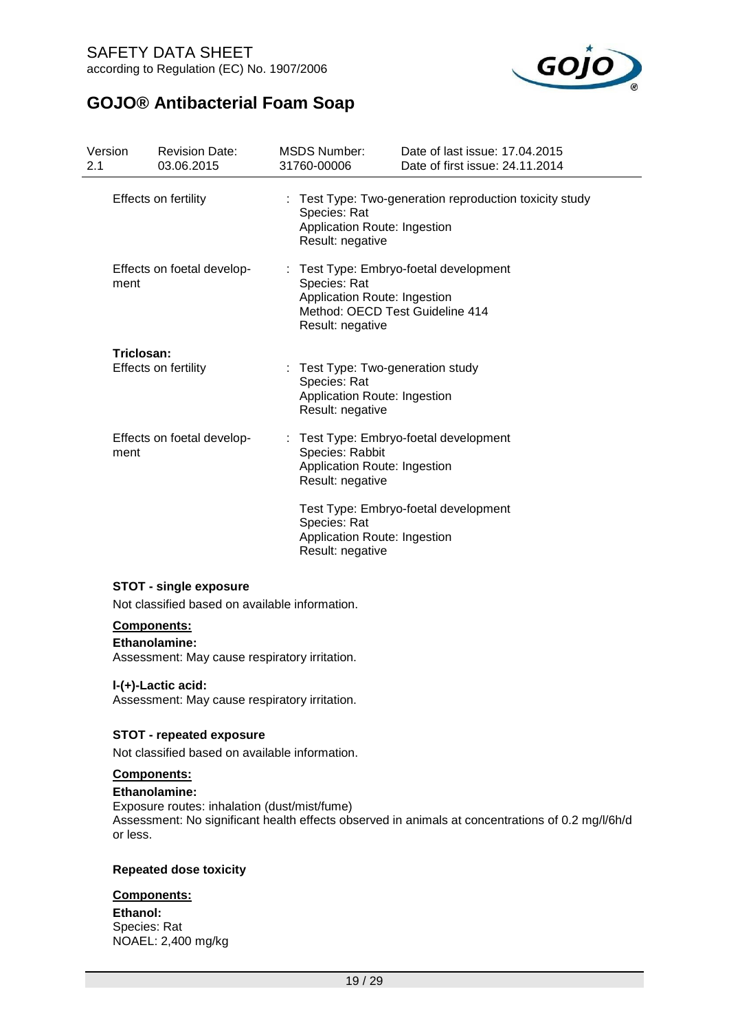

| Version<br>2.1       | <b>Revision Date:</b><br>03.06.2015 | MSDS Number:<br>31760-00006                                                                           | Date of last issue: 17.04.2015<br>Date of first issue: 24.11.2014                                                             |  |  |  |  |  |
|----------------------|-------------------------------------|-------------------------------------------------------------------------------------------------------|-------------------------------------------------------------------------------------------------------------------------------|--|--|--|--|--|
| Effects on fertility |                                     | Species: Rat                                                                                          | : Test Type: Two-generation reproduction toxicity study<br>Application Route: Ingestion<br>Result: negative                   |  |  |  |  |  |
| ment                 | Effects on foetal develop-          | Species: Rat                                                                                          | : Test Type: Embryo-foetal development<br>Application Route: Ingestion<br>Method: OECD Test Guideline 414<br>Result: negative |  |  |  |  |  |
| Triclosan:           |                                     |                                                                                                       |                                                                                                                               |  |  |  |  |  |
|                      | Effects on fertility                | : Test Type: Two-generation study<br>Species: Rat<br>Application Route: Ingestion<br>Result: negative |                                                                                                                               |  |  |  |  |  |
| ment                 | Effects on foetal develop-          | Species: Rabbit<br>Application Route: Ingestion<br>Result: negative                                   | : Test Type: Embryo-foetal development                                                                                        |  |  |  |  |  |
|                      |                                     | Species: Rat<br>Application Route: Ingestion<br>Result: negative                                      | Test Type: Embryo-foetal development                                                                                          |  |  |  |  |  |

### **STOT - single exposure**

Not classified based on available information.

### **Components:**

#### **Ethanolamine:**

Assessment: May cause respiratory irritation.

### **l-(+)-Lactic acid:**

Assessment: May cause respiratory irritation.

### **STOT - repeated exposure**

Not classified based on available information.

### **Components:**

### **Ethanolamine:**

Exposure routes: inhalation (dust/mist/fume) Assessment: No significant health effects observed in animals at concentrations of 0.2 mg/l/6h/d or less.

#### **Repeated dose toxicity**

### **Components:**

**Ethanol:** Species: Rat NOAEL: 2,400 mg/kg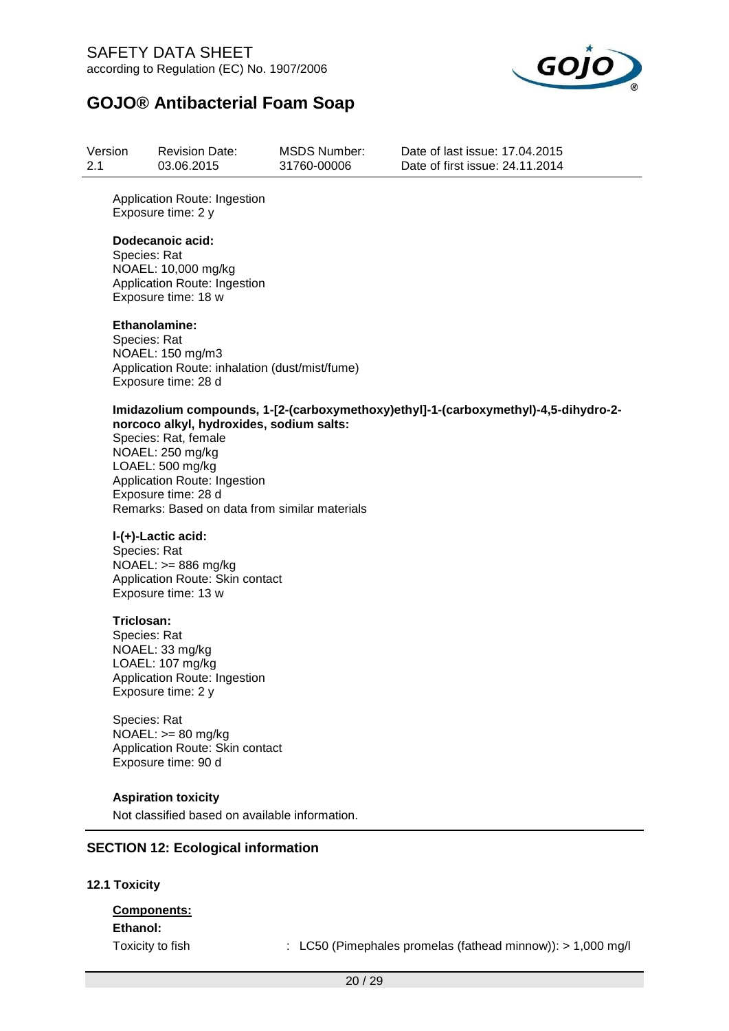

| Version | <b>Revision Date:</b> | MSDS Number: | Date of last issue: 17,04,2015  |
|---------|-----------------------|--------------|---------------------------------|
| 2.1     | 03.06.2015            | 31760-00006  | Date of first issue: 24.11.2014 |

Application Route: Ingestion Exposure time: 2 y

#### **Dodecanoic acid:**

Species: Rat NOAEL: 10,000 mg/kg Application Route: Ingestion Exposure time: 18 w

### **Ethanolamine:**

Species: Rat NOAEL: 150 mg/m3 Application Route: inhalation (dust/mist/fume) Exposure time: 28 d

#### **Imidazolium compounds, 1-[2-(carboxymethoxy)ethyl]-1-(carboxymethyl)-4,5-dihydro-2 norcoco alkyl, hydroxides, sodium salts:**

Species: Rat, female NOAEL: 250 mg/kg LOAEL: 500 mg/kg Application Route: Ingestion Exposure time: 28 d Remarks: Based on data from similar materials

### **l-(+)-Lactic acid:**

Species: Rat NOAEL: >= 886 mg/kg Application Route: Skin contact Exposure time: 13 w

### **Triclosan:**

Species: Rat NOAEL: 33 mg/kg LOAEL: 107 mg/kg Application Route: Ingestion Exposure time: 2 y

Species: Rat NOAEL: >= 80 mg/kg Application Route: Skin contact Exposure time: 90 d

### **Aspiration toxicity**

Not classified based on available information.

### **SECTION 12: Ecological information**

### **12.1 Toxicity**

# **Components:**

**Ethanol:**

Toxicity to fish : LC50 (Pimephales promelas (fathead minnow)): > 1,000 mg/l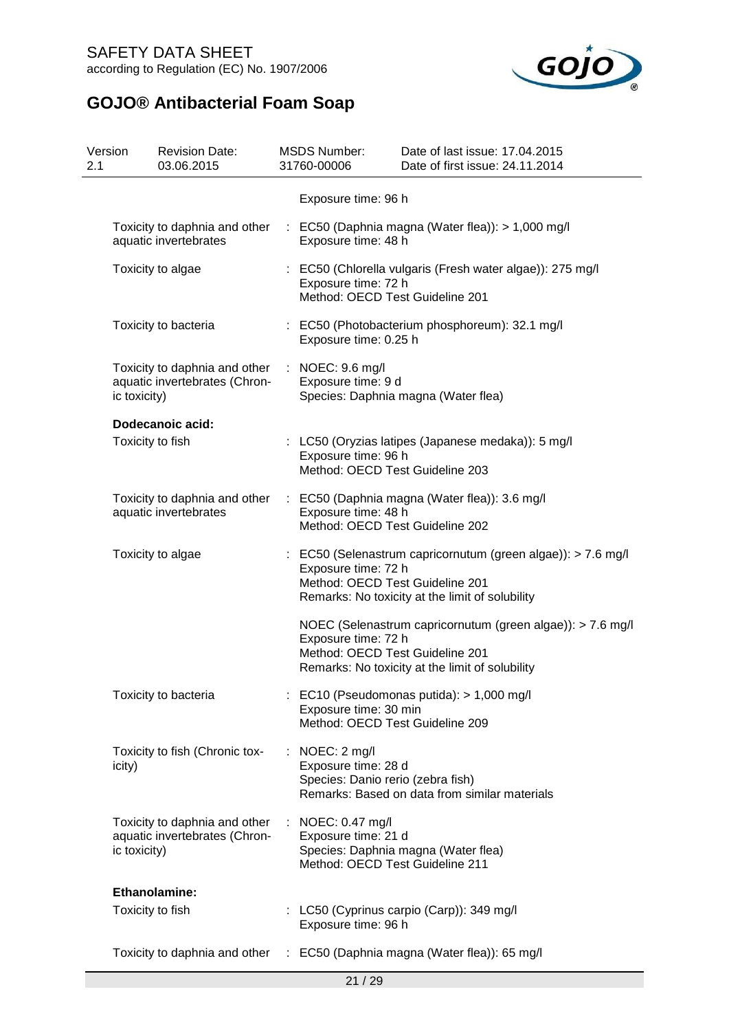

| Version<br>2.1 |                  | <b>Revision Date:</b><br>03.06.2015                            |   | <b>MSDS Number:</b><br>31760-00006                                          | Date of last issue: 17.04.2015<br>Date of first issue: 24.11.2014                                               |
|----------------|------------------|----------------------------------------------------------------|---|-----------------------------------------------------------------------------|-----------------------------------------------------------------------------------------------------------------|
|                |                  |                                                                |   | Exposure time: 96 h                                                         |                                                                                                                 |
|                |                  | Toxicity to daphnia and other<br>aquatic invertebrates         |   | Exposure time: 48 h                                                         | : EC50 (Daphnia magna (Water flea)): > 1,000 mg/l                                                               |
|                |                  | Toxicity to algae                                              |   | Exposure time: 72 h<br>Method: OECD Test Guideline 201                      | : EC50 (Chlorella vulgaris (Fresh water algae)): 275 mg/l                                                       |
|                |                  | Toxicity to bacteria                                           |   | Exposure time: 0.25 h                                                       | : EC50 (Photobacterium phosphoreum): 32.1 mg/l                                                                  |
|                | ic toxicity)     | Toxicity to daphnia and other<br>aquatic invertebrates (Chron- |   | : NOEC: $9.6 \text{ mg/l}$<br>Exposure time: 9 d                            | Species: Daphnia magna (Water flea)                                                                             |
|                |                  | Dodecanoic acid:                                               |   |                                                                             |                                                                                                                 |
|                | Toxicity to fish |                                                                |   | Exposure time: 96 h<br>Method: OECD Test Guideline 203                      | : LC50 (Oryzias latipes (Japanese medaka)): 5 mg/l                                                              |
|                |                  | Toxicity to daphnia and other<br>aquatic invertebrates         |   | Exposure time: 48 h<br>Method: OECD Test Guideline 202                      | : EC50 (Daphnia magna (Water flea)): 3.6 mg/l                                                                   |
|                |                  | Toxicity to algae                                              |   | Exposure time: 72 h<br>Method: OECD Test Guideline 201                      | : EC50 (Selenastrum capricornutum (green algae)): > 7.6 mg/l<br>Remarks: No toxicity at the limit of solubility |
|                |                  |                                                                |   | Exposure time: 72 h<br>Method: OECD Test Guideline 201                      | NOEC (Selenastrum capricornutum (green algae)): > 7.6 mg/l<br>Remarks: No toxicity at the limit of solubility   |
|                |                  | Toxicity to bacteria                                           |   | Exposure time: 30 min<br>Method: OECD Test Guideline 209                    | : EC10 (Pseudomonas putida): $> 1,000$ mg/l                                                                     |
|                | icity)           | Toxicity to fish (Chronic tox-                                 | ÷ | NOEC: 2 mg/l<br>Exposure time: 28 d<br>Species: Danio rerio (zebra fish)    | Remarks: Based on data from similar materials                                                                   |
|                | ic toxicity)     | Toxicity to daphnia and other<br>aquatic invertebrates (Chron- |   | : NOEC: 0.47 mg/l<br>Exposure time: 21 d<br>Method: OECD Test Guideline 211 | Species: Daphnia magna (Water flea)                                                                             |
|                |                  | <b>Ethanolamine:</b>                                           |   |                                                                             |                                                                                                                 |
|                | Toxicity to fish |                                                                |   | Exposure time: 96 h                                                         | : LC50 (Cyprinus carpio (Carp)): 349 mg/l                                                                       |
|                |                  | Toxicity to daphnia and other                                  | ÷ |                                                                             | EC50 (Daphnia magna (Water flea)): 65 mg/l                                                                      |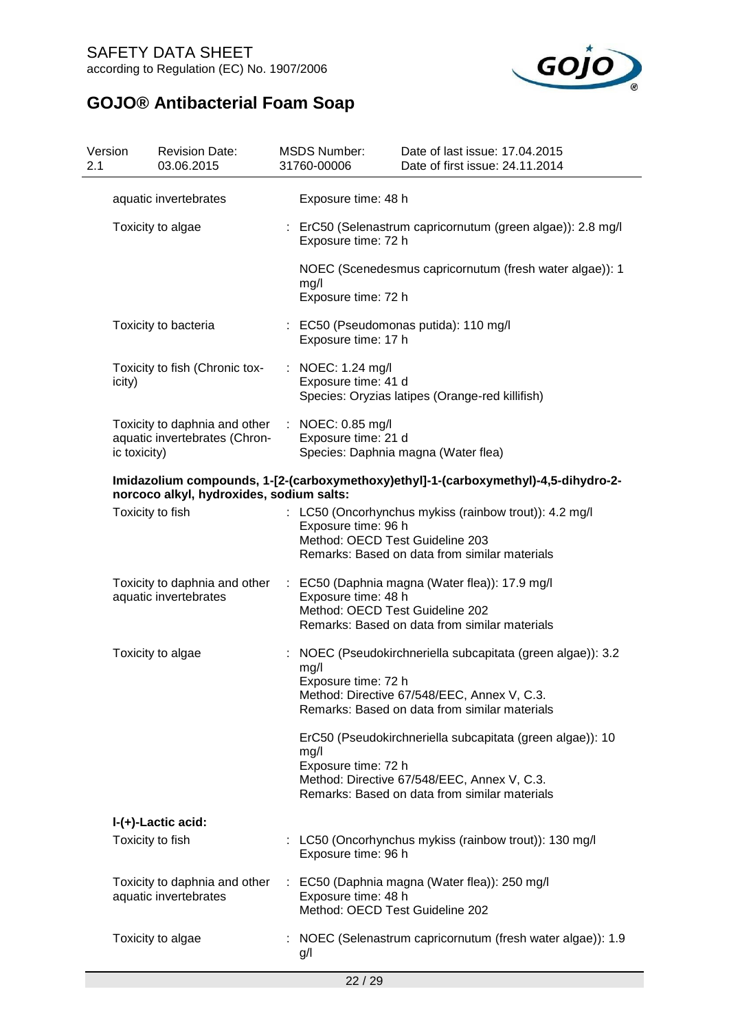

| Version<br>2.1 | <b>Revision Date:</b><br>03.06.2015                                            | <b>MSDS Number:</b><br>31760-00006                           | Date of last issue: 17.04.2015<br>Date of first issue: 24.11.2014                                                                                                                                                      |  |  |  |  |
|----------------|--------------------------------------------------------------------------------|--------------------------------------------------------------|------------------------------------------------------------------------------------------------------------------------------------------------------------------------------------------------------------------------|--|--|--|--|
|                | aquatic invertebrates                                                          | Exposure time: 48 h                                          |                                                                                                                                                                                                                        |  |  |  |  |
|                | Toxicity to algae                                                              | Exposure time: 72 h                                          | : ErC50 (Selenastrum capricornutum (green algae)): 2.8 mg/l                                                                                                                                                            |  |  |  |  |
|                |                                                                                | mg/l<br>Exposure time: 72 h                                  | NOEC (Scenedesmus capricornutum (fresh water algae)): 1                                                                                                                                                                |  |  |  |  |
|                | Toxicity to bacteria                                                           | : EC50 (Pseudomonas putida): 110 mg/l<br>Exposure time: 17 h |                                                                                                                                                                                                                        |  |  |  |  |
| icity)         | Toxicity to fish (Chronic tox-                                                 | : NOEC: 1.24 mg/l<br>Exposure time: 41 d                     | Species: Oryzias latipes (Orange-red killifish)                                                                                                                                                                        |  |  |  |  |
|                | Toxicity to daphnia and other<br>aquatic invertebrates (Chron-<br>ic toxicity) | : NOEC: 0.85 mg/l<br>Exposure time: 21 d                     | Species: Daphnia magna (Water flea)                                                                                                                                                                                    |  |  |  |  |
|                | norcoco alkyl, hydroxides, sodium salts:                                       |                                                              | Imidazolium compounds, 1-[2-(carboxymethoxy)ethyl]-1-(carboxymethyl)-4,5-dihydro-2-                                                                                                                                    |  |  |  |  |
|                | Toxicity to fish                                                               | Exposure time: 96 h<br>Method: OECD Test Guideline 203       | : LC50 (Oncorhynchus mykiss (rainbow trout)): 4.2 mg/l<br>Remarks: Based on data from similar materials                                                                                                                |  |  |  |  |
|                | Toxicity to daphnia and other<br>aquatic invertebrates                         | Exposure time: 48 h<br>Method: OECD Test Guideline 202       | : EC50 (Daphnia magna (Water flea)): 17.9 mg/l<br>Remarks: Based on data from similar materials                                                                                                                        |  |  |  |  |
|                | Toxicity to algae                                                              | mg/l<br>Exposure time: 72 h<br>mg/l<br>Exposure time: 72 h   | NOEC (Pseudokirchneriella subcapitata (green algae)): 3.2<br>Method: Directive 67/548/EEC, Annex V, C.3.<br>Remarks: Based on data from similar materials<br>ErC50 (Pseudokirchneriella subcapitata (green algae)): 10 |  |  |  |  |
|                |                                                                                |                                                              | Method: Directive 67/548/EEC, Annex V, C.3.<br>Remarks: Based on data from similar materials                                                                                                                           |  |  |  |  |
|                | I-(+)-Lactic acid:                                                             |                                                              |                                                                                                                                                                                                                        |  |  |  |  |
|                | Toxicity to fish                                                               | Exposure time: 96 h                                          | : LC50 (Oncorhynchus mykiss (rainbow trout)): 130 mg/l                                                                                                                                                                 |  |  |  |  |
|                | Toxicity to daphnia and other<br>aquatic invertebrates                         | Exposure time: 48 h<br>Method: OECD Test Guideline 202       | : EC50 (Daphnia magna (Water flea)): 250 mg/l                                                                                                                                                                          |  |  |  |  |
|                | Toxicity to algae                                                              | g/l                                                          | : NOEC (Selenastrum capricornutum (fresh water algae)): 1.9                                                                                                                                                            |  |  |  |  |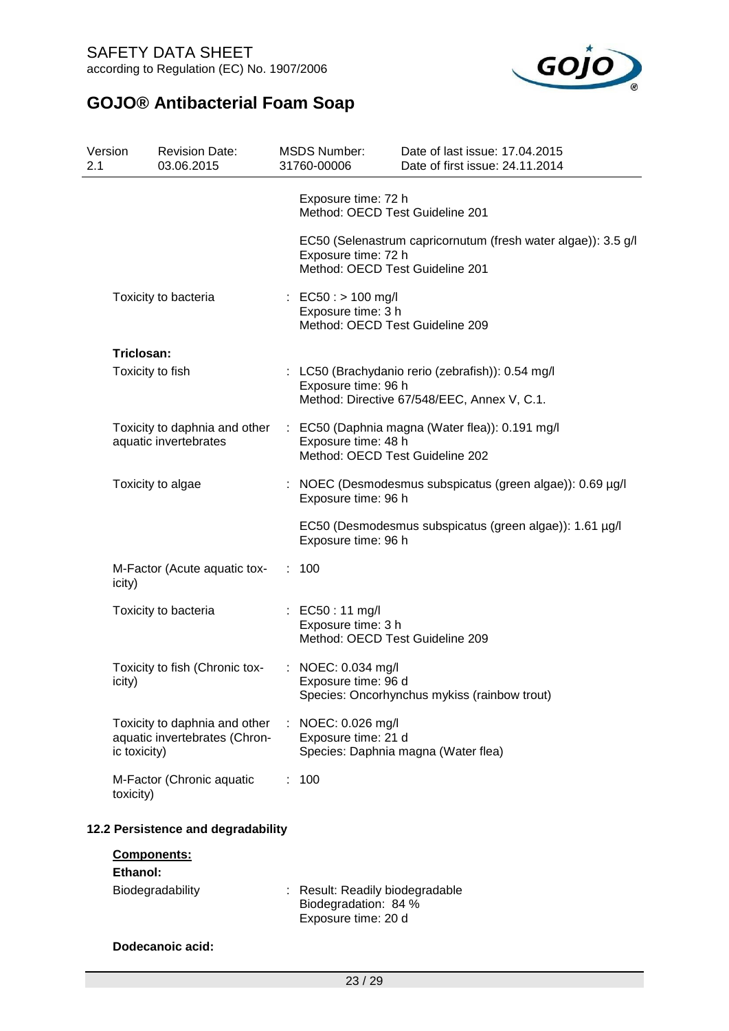

| Version<br>2.1 |              | <b>Revision Date:</b><br>03.06.2015                            | <b>MSDS Number:</b><br>31760-00006                                             | Date of last issue: 17.04.2015<br>Date of first issue: 24.11.2014                                |
|----------------|--------------|----------------------------------------------------------------|--------------------------------------------------------------------------------|--------------------------------------------------------------------------------------------------|
|                |              |                                                                | Exposure time: 72 h<br>Method: OECD Test Guideline 201                         |                                                                                                  |
|                |              |                                                                | Exposure time: 72 h<br>Method: OECD Test Guideline 201                         | EC50 (Selenastrum capricornutum (fresh water algae)): 3.5 g/l                                    |
|                |              | Toxicity to bacteria                                           | : EC50 : > 100 mg/l<br>Exposure time: 3 h<br>Method: OECD Test Guideline 209   |                                                                                                  |
|                | Triclosan:   |                                                                |                                                                                |                                                                                                  |
|                |              | Toxicity to fish                                               | Exposure time: 96 h                                                            | : LC50 (Brachydanio rerio (zebrafish)): 0.54 mg/l<br>Method: Directive 67/548/EEC, Annex V, C.1. |
|                |              | Toxicity to daphnia and other<br>aquatic invertebrates         | Exposure time: 48 h<br>Method: OECD Test Guideline 202                         | : EC50 (Daphnia magna (Water flea)): 0.191 mg/l                                                  |
|                |              | Toxicity to algae                                              | Exposure time: 96 h                                                            | : NOEC (Desmodesmus subspicatus (green algae)): 0.69 µg/l                                        |
|                |              |                                                                | Exposure time: 96 h                                                            | EC50 (Desmodesmus subspicatus (green algae)): 1.61 µg/l                                          |
|                | icity)       | M-Factor (Acute aquatic tox-                                   | : 100                                                                          |                                                                                                  |
|                |              | Toxicity to bacteria                                           | : EC50 : 11 mg/l<br>Exposure time: 3 h<br>Method: OECD Test Guideline 209      |                                                                                                  |
|                | icity)       | Toxicity to fish (Chronic tox-                                 | : NOEC: 0.034 mg/l<br>Exposure time: 96 d                                      | Species: Oncorhynchus mykiss (rainbow trout)                                                     |
|                | ic toxicity) | Toxicity to daphnia and other<br>aquatic invertebrates (Chron- | : NOEC: 0.026 mg/l<br>Exposure time: 21 d                                      | Species: Daphnia magna (Water flea)                                                              |
|                | toxicity)    | M-Factor (Chronic aquatic                                      | : 100                                                                          |                                                                                                  |
|                |              | 12.2 Persistence and degradability                             |                                                                                |                                                                                                  |
|                |              | Components:                                                    |                                                                                |                                                                                                  |
|                | Ethanol:     | Biodegradability                                               | : Result: Readily biodegradable<br>Biodegradation: 84 %<br>Exposure time: 20 d |                                                                                                  |
|                |              | Dodecanoic acid:                                               |                                                                                |                                                                                                  |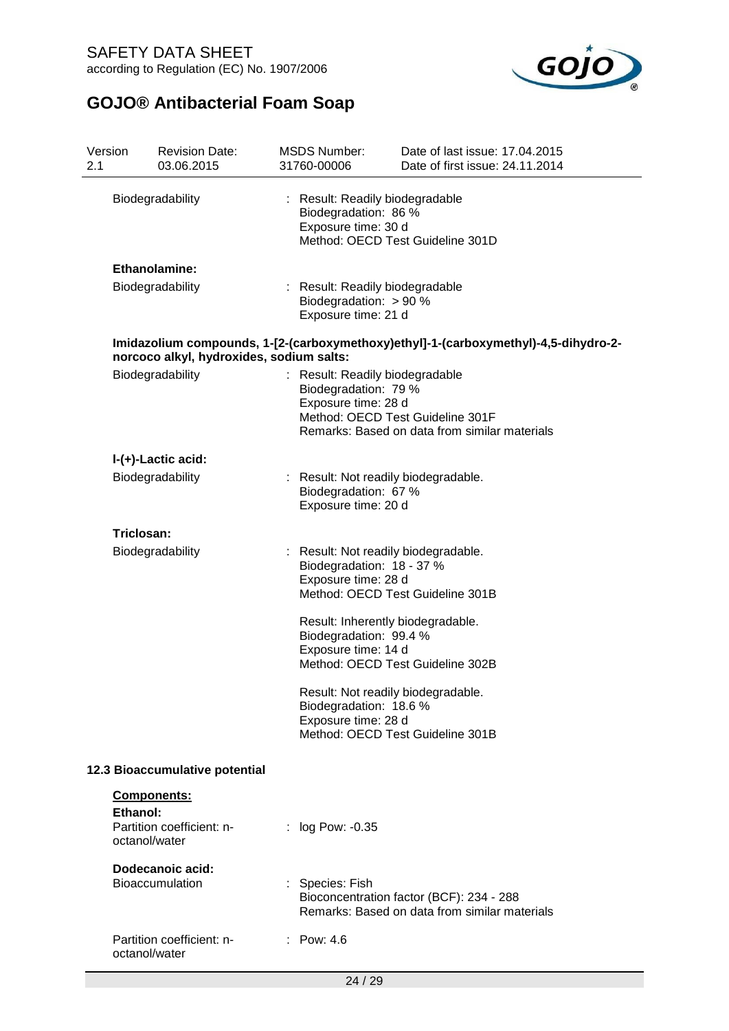

| Version<br>2.1                                                     |                                                                                                                                 | <b>Revision Date:</b><br>03.06.2015        |                                                                                                                    | <b>MSDS Number:</b><br>31760-00006                                                                                                                                                                                                                                  | Date of last issue: 17.04.2015<br>Date of first issue: 24.11.2014                         |  |  |  |  |
|--------------------------------------------------------------------|---------------------------------------------------------------------------------------------------------------------------------|--------------------------------------------|--------------------------------------------------------------------------------------------------------------------|---------------------------------------------------------------------------------------------------------------------------------------------------------------------------------------------------------------------------------------------------------------------|-------------------------------------------------------------------------------------------|--|--|--|--|
| Biodegradability                                                   |                                                                                                                                 |                                            | : Result: Readily biodegradable<br>Biodegradation: 86 %<br>Exposure time: 30 d<br>Method: OECD Test Guideline 301D |                                                                                                                                                                                                                                                                     |                                                                                           |  |  |  |  |
| Ethanolamine:                                                      |                                                                                                                                 |                                            |                                                                                                                    |                                                                                                                                                                                                                                                                     |                                                                                           |  |  |  |  |
|                                                                    |                                                                                                                                 | Biodegradability                           |                                                                                                                    | : Result: Readily biodegradable<br>Biodegradation: $> 90 %$<br>Exposure time: 21 d                                                                                                                                                                                  |                                                                                           |  |  |  |  |
|                                                                    | Imidazolium compounds, 1-[2-(carboxymethoxy)ethyl]-1-(carboxymethyl)-4,5-dihydro-2-<br>norcoco alkyl, hydroxides, sodium salts: |                                            |                                                                                                                    |                                                                                                                                                                                                                                                                     |                                                                                           |  |  |  |  |
|                                                                    |                                                                                                                                 | Biodegradability                           |                                                                                                                    | : Result: Readily biodegradable<br>Biodegradation: 79 %<br>Exposure time: 28 d                                                                                                                                                                                      | Method: OECD Test Guideline 301F<br>Remarks: Based on data from similar materials         |  |  |  |  |
|                                                                    |                                                                                                                                 | I-(+)-Lactic acid:                         |                                                                                                                    |                                                                                                                                                                                                                                                                     |                                                                                           |  |  |  |  |
|                                                                    | Biodegradability                                                                                                                |                                            | : Result: Not readily biodegradable.<br>Biodegradation: 67 %<br>Exposure time: 20 d                                |                                                                                                                                                                                                                                                                     |                                                                                           |  |  |  |  |
|                                                                    | Triclosan:                                                                                                                      |                                            |                                                                                                                    |                                                                                                                                                                                                                                                                     |                                                                                           |  |  |  |  |
|                                                                    |                                                                                                                                 | Biodegradability                           |                                                                                                                    | Result: Not readily biodegradable.<br>Biodegradation: 18 - 37 %<br>Exposure time: 28 d<br>Result: Inherently biodegradable.<br>Biodegradation: 99.4 %<br>Exposure time: 14 d<br>Result: Not readily biodegradable.<br>Biodegradation: 18.6 %<br>Exposure time: 28 d | Method: OECD Test Guideline 301B<br>Method: OECD Test Guideline 302B                      |  |  |  |  |
| Method: OECD Test Guideline 301B<br>12.3 Bioaccumulative potential |                                                                                                                                 |                                            |                                                                                                                    |                                                                                                                                                                                                                                                                     |                                                                                           |  |  |  |  |
|                                                                    | Components:                                                                                                                     |                                            |                                                                                                                    |                                                                                                                                                                                                                                                                     |                                                                                           |  |  |  |  |
|                                                                    | Ethanol:<br>octanol/water                                                                                                       | Partition coefficient: n-                  |                                                                                                                    | log Pow: -0.35                                                                                                                                                                                                                                                      |                                                                                           |  |  |  |  |
|                                                                    |                                                                                                                                 | Dodecanoic acid:<br><b>Bioaccumulation</b> |                                                                                                                    | : Species: Fish                                                                                                                                                                                                                                                     | Bioconcentration factor (BCF): 234 - 288<br>Remarks: Based on data from similar materials |  |  |  |  |
|                                                                    | octanol/water                                                                                                                   | Partition coefficient: n-                  |                                                                                                                    | : Pow: $4.6$                                                                                                                                                                                                                                                        |                                                                                           |  |  |  |  |
|                                                                    |                                                                                                                                 |                                            |                                                                                                                    | 24 / 29                                                                                                                                                                                                                                                             |                                                                                           |  |  |  |  |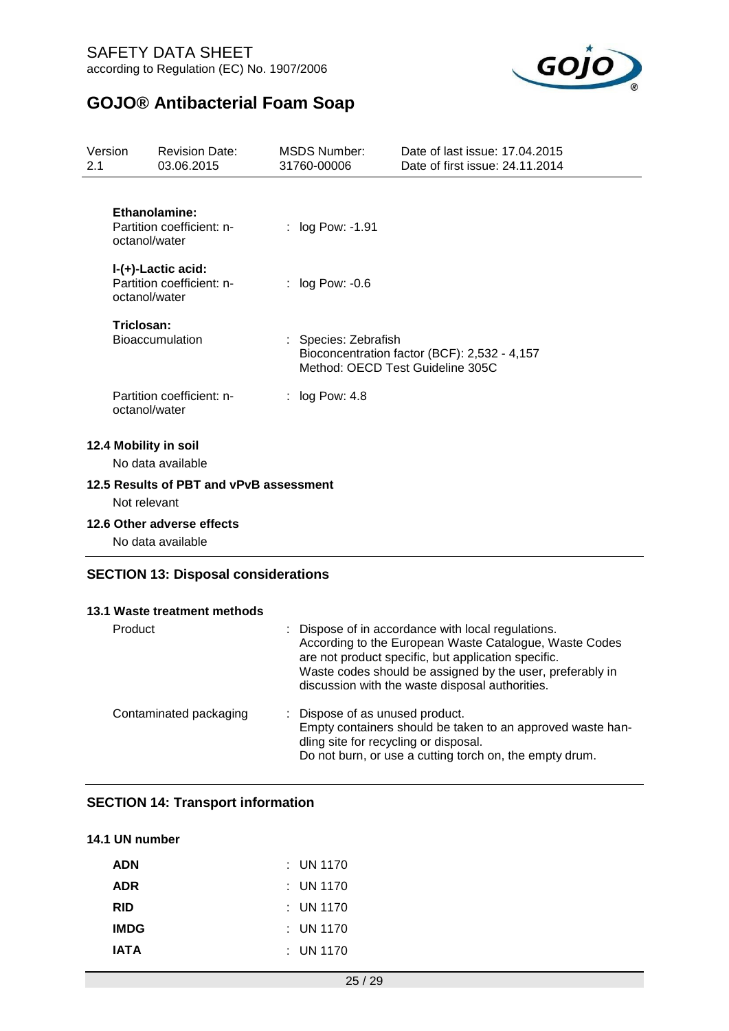

| Version<br>2.1 |                       | <b>Revision Date:</b><br>03.06.2015             | <b>MSDS Number:</b><br>31760-00006 | Date of last issue: 17.04.2015<br>Date of first issue: 24.11.2014                |
|----------------|-----------------------|-------------------------------------------------|------------------------------------|----------------------------------------------------------------------------------|
|                | octanol/water         | Ethanolamine:<br>Partition coefficient: n-      | : log Pow: -1.91                   |                                                                                  |
|                | octanol/water         | I-(+)-Lactic acid:<br>Partition coefficient: n- | $:$ log Pow: -0.6                  |                                                                                  |
|                | Triclosan:            | <b>Bioaccumulation</b>                          | : Species: Zebrafish               | Bioconcentration factor (BCF): 2,532 - 4,157<br>Method: OECD Test Guideline 305C |
|                | octanol/water         | Partition coefficient: n-                       | : $log Pow: 4.8$                   |                                                                                  |
|                | 12.4 Mobility in soil | No data available                               |                                    |                                                                                  |
|                | Not relevant          | 12.5 Results of PBT and vPvB assessment         |                                    |                                                                                  |
|                |                       | 12.6 Other adverse effects<br>No data available |                                    |                                                                                  |

### **SECTION 13: Disposal considerations**

| 13.1 Waste treatment methods |                                                                                                                                                                                                                                                                                     |
|------------------------------|-------------------------------------------------------------------------------------------------------------------------------------------------------------------------------------------------------------------------------------------------------------------------------------|
| Product                      | : Dispose of in accordance with local regulations.<br>According to the European Waste Catalogue, Waste Codes<br>are not product specific, but application specific.<br>Waste codes should be assigned by the user, preferably in<br>discussion with the waste disposal authorities. |
| Contaminated packaging       | : Dispose of as unused product.<br>Empty containers should be taken to an approved waste han-<br>dling site for recycling or disposal.<br>Do not burn, or use a cutting torch on, the empty drum.                                                                                   |

## **SECTION 14: Transport information**

## **14.1 UN number**

| <b>ADN</b>  | : UN 1170   |  |
|-------------|-------------|--|
| <b>ADR</b>  | : UN 1170   |  |
| RID         | : UN 1170   |  |
| <b>IMDG</b> | : UN 1170   |  |
| <b>IATA</b> | $:$ UN 1170 |  |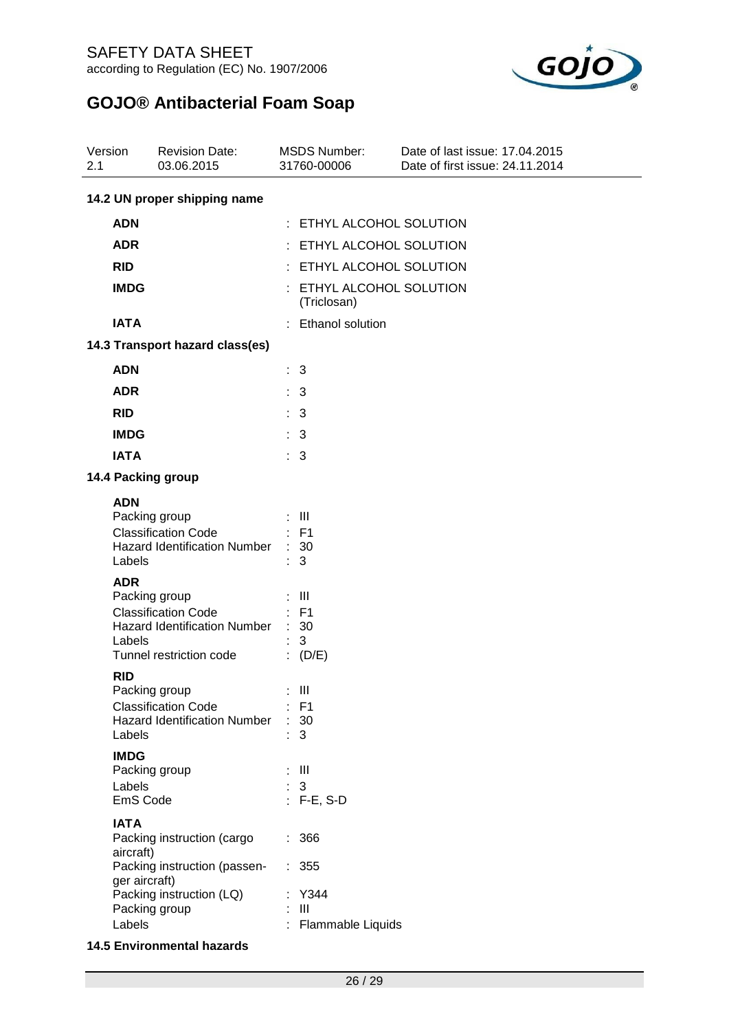

| Version<br>2.1                                        | <b>Revision Date:</b><br>03.06.2015                                                                                                                                                                                                                                                                                                         | <b>MSDS Number:</b><br>31760-00006                                                                                                                                                       | Date of last issue: 17.04.2015<br>Date of first issue: 24.11.2014 |  |  |
|-------------------------------------------------------|---------------------------------------------------------------------------------------------------------------------------------------------------------------------------------------------------------------------------------------------------------------------------------------------------------------------------------------------|------------------------------------------------------------------------------------------------------------------------------------------------------------------------------------------|-------------------------------------------------------------------|--|--|
|                                                       | 14.2 UN proper shipping name                                                                                                                                                                                                                                                                                                                |                                                                                                                                                                                          |                                                                   |  |  |
| <b>ADN</b>                                            |                                                                                                                                                                                                                                                                                                                                             | : ETHYL ALCOHOL SOLUTION                                                                                                                                                                 |                                                                   |  |  |
| <b>ADR</b>                                            |                                                                                                                                                                                                                                                                                                                                             | ETHYL ALCOHOL SOLUTION                                                                                                                                                                   |                                                                   |  |  |
| <b>RID</b>                                            |                                                                                                                                                                                                                                                                                                                                             | : ETHYL ALCOHOL SOLUTION                                                                                                                                                                 |                                                                   |  |  |
| <b>IMDG</b>                                           |                                                                                                                                                                                                                                                                                                                                             | : ETHYL ALCOHOL SOLUTION<br>(Triclosan)                                                                                                                                                  |                                                                   |  |  |
| <b>IATA</b>                                           |                                                                                                                                                                                                                                                                                                                                             | : Ethanol solution                                                                                                                                                                       |                                                                   |  |  |
|                                                       | 14.3 Transport hazard class(es)                                                                                                                                                                                                                                                                                                             |                                                                                                                                                                                          |                                                                   |  |  |
| <b>ADN</b>                                            |                                                                                                                                                                                                                                                                                                                                             | : 3                                                                                                                                                                                      |                                                                   |  |  |
| <b>ADR</b>                                            |                                                                                                                                                                                                                                                                                                                                             | : 3                                                                                                                                                                                      |                                                                   |  |  |
| <b>RID</b>                                            |                                                                                                                                                                                                                                                                                                                                             | : 3                                                                                                                                                                                      |                                                                   |  |  |
| <b>IMDG</b>                                           |                                                                                                                                                                                                                                                                                                                                             | $\therefore$ 3                                                                                                                                                                           |                                                                   |  |  |
| <b>IATA</b>                                           |                                                                                                                                                                                                                                                                                                                                             | $\therefore$ 3                                                                                                                                                                           |                                                                   |  |  |
|                                                       | 14.4 Packing group                                                                                                                                                                                                                                                                                                                          |                                                                                                                                                                                          |                                                                   |  |  |
| <b>ADN</b><br><b>ADR</b><br><b>RID</b><br><b>IMDG</b> | Packing group<br><b>Classification Code</b><br><b>Hazard Identification Number</b><br>Labels<br>Packing group<br><b>Classification Code</b><br>Hazard Identification Number<br>Labels<br>Tunnel restriction code<br>Packing group<br><b>Classification Code</b><br><b>Hazard Identification Number</b><br>Labels<br>Packing group<br>Labels | $:$ $\mathbb{H}$<br>$:$ F1<br>30<br>3<br>$\overline{\phantom{1}}$ $\overline{\phantom{1}}$<br>$E = F1$<br>30<br>3<br>(D/E)<br>: III<br>$:$ F1<br>: 30<br>3<br>- III<br>t<br>$\mathbf{3}$ |                                                                   |  |  |
| <b>IATA</b>                                           | EmS Code<br>Packing instruction (cargo<br>aircraft)<br>Packing instruction (passen-<br>ger aircraft)<br>Packing instruction (LQ)<br>Packing group<br>Labels                                                                                                                                                                                 | $: F-E, S-D$<br>: 366<br>: 355<br>Y344<br>Ш<br>Flammable Liquids                                                                                                                         |                                                                   |  |  |

### **14.5 Environmental hazards**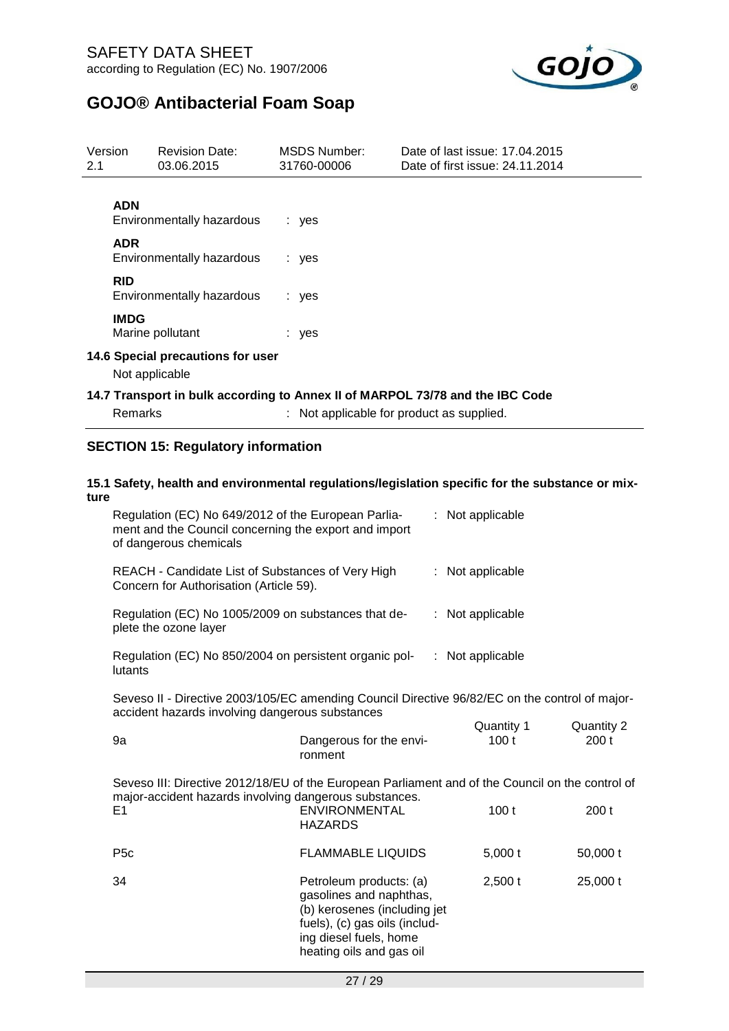

| Version<br>2.1 |                | <b>Revision Date:</b><br>03.06.2015                    | <b>MSDS Number:</b><br>31760-00006 | Date of last issue: 17.04.2015<br>Date of first issue: 24.11.2014                                                          |
|----------------|----------------|--------------------------------------------------------|------------------------------------|----------------------------------------------------------------------------------------------------------------------------|
|                | <b>ADN</b>     |                                                        |                                    |                                                                                                                            |
|                | <b>ADR</b>     | Environmentally hazardous<br>Environmentally hazardous | : yes<br>: yes                     |                                                                                                                            |
|                | <b>RID</b>     | Environmentally hazardous                              | : yes                              |                                                                                                                            |
|                | <b>IMDG</b>    | Marine pollutant                                       | : yes                              |                                                                                                                            |
|                | Not applicable | 14.6 Special precautions for user                      |                                    |                                                                                                                            |
|                | <b>Remarks</b> |                                                        |                                    | 14.7 Transport in bulk according to Annex II of MARPOL 73/78 and the IBC Code<br>: Not applicable for product as supplied. |

## **SECTION 15: Regulatory information**

### **15.1 Safety, health and environmental regulations/legislation specific for the substance or mixture**

| Regulation (EC) No 649/2012 of the European Parlia-<br>ment and the Council concerning the export and import<br>of dangerous chemicals                     |                                                                                                                                                                           | : Not applicable |                  |
|------------------------------------------------------------------------------------------------------------------------------------------------------------|---------------------------------------------------------------------------------------------------------------------------------------------------------------------------|------------------|------------------|
| REACH - Candidate List of Substances of Very High<br>Concern for Authorisation (Article 59).                                                               | : Not applicable                                                                                                                                                          |                  |                  |
| Regulation (EC) No 1005/2009 on substances that de-<br>plete the ozone layer                                                                               |                                                                                                                                                                           | : Not applicable |                  |
| Regulation (EC) No 850/2004 on persistent organic pol-<br>lutants                                                                                          |                                                                                                                                                                           | : Not applicable |                  |
| Seveso II - Directive 2003/105/EC amending Council Directive 96/82/EC on the control of major-                                                             |                                                                                                                                                                           |                  |                  |
| accident hazards involving dangerous substances                                                                                                            |                                                                                                                                                                           | Quantity 1       | Quantity 2       |
| 9a                                                                                                                                                         | Dangerous for the envi-<br>ronment                                                                                                                                        | 100t             | 200 <sub>t</sub> |
| Seveso III: Directive 2012/18/EU of the European Parliament and of the Council on the control of<br>major-accident hazards involving dangerous substances. |                                                                                                                                                                           |                  |                  |
| E <sub>1</sub>                                                                                                                                             | <b>ENVIRONMENTAL</b><br><b>HAZARDS</b>                                                                                                                                    | 100 <sub>t</sub> | 200 <sub>t</sub> |
| P <sub>5</sub> c                                                                                                                                           | <b>FLAMMABLE LIQUIDS</b>                                                                                                                                                  | 5,000t           | 50,000 t         |
| 34                                                                                                                                                         | Petroleum products: (a)<br>gasolines and naphthas,<br>(b) kerosenes (including jet<br>fuels), (c) gas oils (includ-<br>ing diesel fuels, home<br>heating oils and gas oil | $2,500$ t        | 25,000 t         |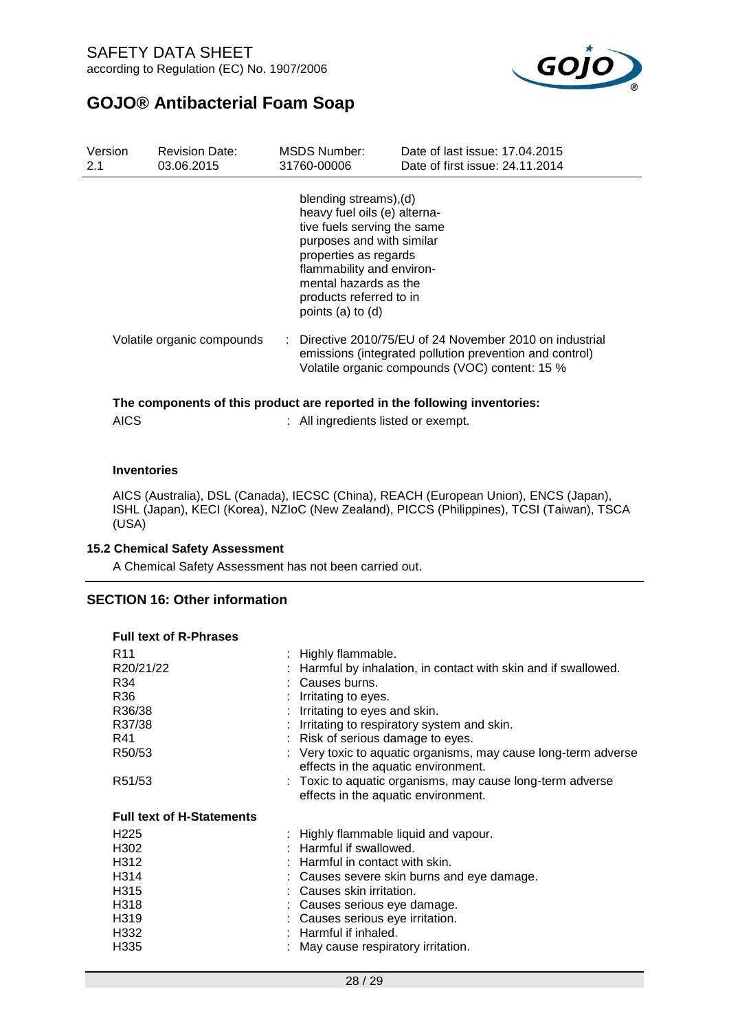

| Version<br>2.1 | <b>Revision Date:</b><br>03.06.2015                                       |  | <b>MSDS Number:</b><br>31760-00006                                                                                                                                                                                                                | Date of last issue: 17,04,2015<br>Date of first issue: 24.11.2014                                                                                                                |  |
|----------------|---------------------------------------------------------------------------|--|---------------------------------------------------------------------------------------------------------------------------------------------------------------------------------------------------------------------------------------------------|----------------------------------------------------------------------------------------------------------------------------------------------------------------------------------|--|
|                |                                                                           |  | blending streams), (d)<br>heavy fuel oils (e) alterna-<br>tive fuels serving the same<br>purposes and with similar<br>properties as regards<br>flammability and environ-<br>mental hazards as the<br>products referred to in<br>points (a) to (d) |                                                                                                                                                                                  |  |
|                | Volatile organic compounds                                                |  |                                                                                                                                                                                                                                                   | $\therefore$ Directive 2010/75/EU of 24 November 2010 on industrial<br>emissions (integrated pollution prevention and control)<br>Volatile organic compounds (VOC) content: 15 % |  |
|                | The components of this product are reported in the following inventories: |  |                                                                                                                                                                                                                                                   |                                                                                                                                                                                  |  |

| AICS | All ingredients listed or exempt. |  |
|------|-----------------------------------|--|
|      |                                   |  |

### **Inventories**

AICS (Australia), DSL (Canada), IECSC (China), REACH (European Union), ENCS (Japan), ISHL (Japan), KECI (Korea), NZIoC (New Zealand), PICCS (Philippines), TCSI (Taiwan), TSCA (USA)

### **15.2 Chemical Safety Assessment**

A Chemical Safety Assessment has not been carried out.

### **SECTION 16: Other information**

| <b>Full text of R-Phrases</b>    |                                                                                                       |
|----------------------------------|-------------------------------------------------------------------------------------------------------|
| R11                              | : Highly flammable.                                                                                   |
| R20/21/22                        | : Harmful by inhalation, in contact with skin and if swallowed.                                       |
| R34                              | : Causes burns.                                                                                       |
| R36                              | Irritating to eyes.                                                                                   |
| R36/38                           | : Irritating to eyes and skin.                                                                        |
| R37/38                           | : Irritating to respiratory system and skin.                                                          |
| R41                              | : Risk of serious damage to eyes.                                                                     |
| R50/53                           | : Very toxic to aquatic organisms, may cause long-term adverse<br>effects in the aquatic environment. |
| R51/53                           | : Toxic to aquatic organisms, may cause long-term adverse<br>effects in the aquatic environment.      |
| <b>Full text of H-Statements</b> |                                                                                                       |
| H <sub>225</sub>                 | : Highly flammable liquid and vapour.                                                                 |
| H302                             | : Harmful if swallowed.                                                                               |
| H312                             | : Harmful in contact with skin.                                                                       |
| H314                             | : Causes severe skin burns and eye damage.                                                            |
| H315                             | : Causes skin irritation.                                                                             |
| H318                             | : Causes serious eye damage.                                                                          |
| H319                             | : Causes serious eye irritation.                                                                      |
| H332                             | $:$ Harmful if inhaled.                                                                               |
| H335                             | : May cause respiratory irritation.                                                                   |